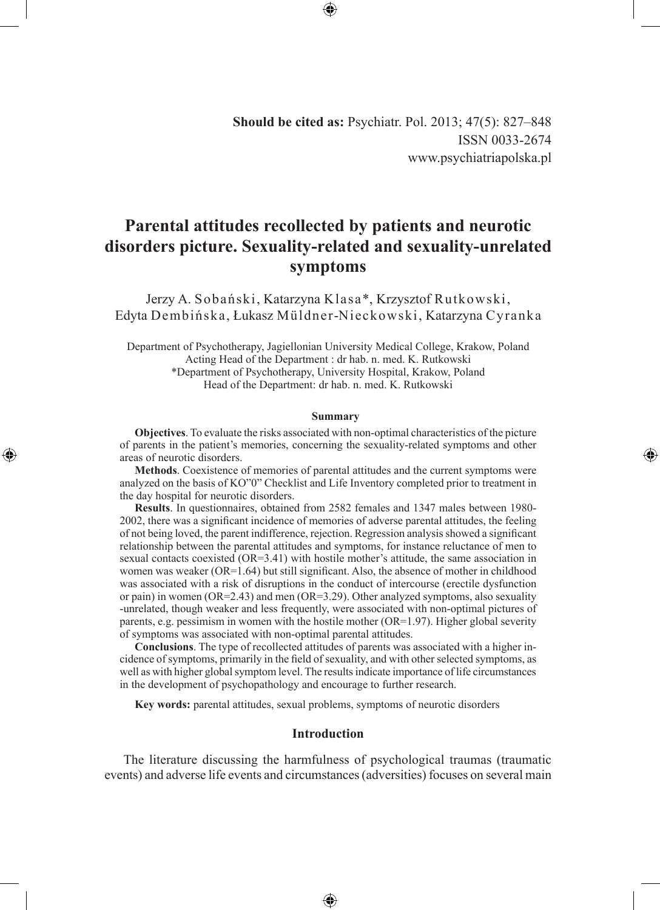◈

# **Parental attitudes recollected by patients and neurotic disorders picture. Sexuality-related and sexuality-unrelated symptoms**

Jerzy A. Sobański, Katarzyna Klasa\*, Krzysztof Rutkowski, Edyta Dembińska, Łukasz Müldner-Nieckowski, Katarzyna Cyranka

Department of Psychotherapy, Jagiellonian University Medical College, Krakow, Poland Acting Head of the Department : dr hab. n. med. K. Rutkowski \*Department of Psychotherapy, University Hospital, Krakow, Poland Head of the Department: dr hab. n. med. K. Rutkowski

#### **Summary**

**Objectives**. To evaluate the risks associated with non-optimal characteristics of the picture of parents in the patient's memories, concerning the sexuality-related symptoms and other areas of neurotic disorders.

◈

**Methods**. Coexistence of memories of parental attitudes and the current symptoms were analyzed on the basis of KO"0" Checklist and Life Inventory completed prior to treatment in the day hospital for neurotic disorders.

**Results**. In questionnaires, obtained from 2582 females and 1347 males between 1980- 2002, there was a significant incidence of memories of adverse parental attitudes, the feeling of not being loved, the parent indifference, rejection. Regression analysis showed a significant relationship between the parental attitudes and symptoms, for instance reluctance of men to sexual contacts coexisted (OR=3.41) with hostile mother's attitude, the same association in women was weaker (OR=1.64) but still significant. Also, the absence of mother in childhood was associated with a risk of disruptions in the conduct of intercourse (erectile dysfunction or pain) in women ( $OR=2.43$ ) and men ( $OR=3.29$ ). Other analyzed symptoms, also sexuality -unrelated, though weaker and less frequently, were associated with non-optimal pictures of parents, e.g. pessimism in women with the hostile mother (OR=1.97). Higher global severity of symptoms was associated with non-optimal parental attitudes.

**Conclusions**. The type of recollected attitudes of parents was associated with a higher incidence of symptoms, primarily in the field of sexuality, and with other selected symptoms, as well as with higher global symptom level. The results indicate importance of life circumstances in the development of psychopathology and encourage to further research.

**Key words:** parental attitudes, sexual problems, symptoms of neurotic disorders

### **Introduction**

The literature discussing the harmfulness of psychological traumas (traumatic events) and adverse life events and circumstances (adversities) focuses on several main

⊕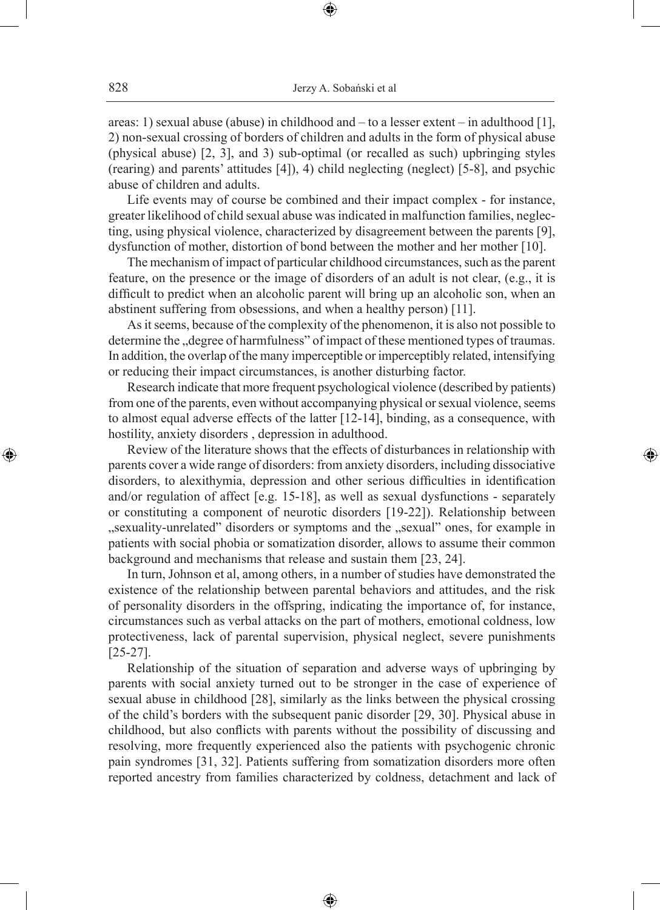areas: 1) sexual abuse (abuse) in childhood and – to a lesser extent – in adulthood [1], 2) non-sexual crossing of borders of children and adults in the form of physical abuse (physical abuse) [2, 3], and 3) sub-optimal (or recalled as such) upbringing styles (rearing) and parents' attitudes [4]), 4) child neglecting (neglect) [5-8], and psychic abuse of children and adults.

⊕

Life events may of course be combined and their impact complex - for instance, greater likelihood of child sexual abuse was indicated in malfunction families, neglecting, using physical violence, characterized by disagreement between the parents [9], dysfunction of mother, distortion of bond between the mother and her mother [10].

The mechanism of impact of particular childhood circumstances, such as the parent feature, on the presence or the image of disorders of an adult is not clear, (e.g., it is difficult to predict when an alcoholic parent will bring up an alcoholic son, when an abstinent suffering from obsessions, and when a healthy person) [11].

As it seems, because of the complexity of the phenomenon, it is also not possible to determine the "degree of harmfulness" of impact of these mentioned types of traumas. In addition, the overlap of the many imperceptible or imperceptibly related, intensifying or reducing their impact circumstances, is another disturbing factor.

Research indicate that more frequent psychological violence (described by patients) from one of the parents, even without accompanying physical or sexual violence, seems to almost equal adverse effects of the latter [12-14], binding, as a consequence, with hostility, anxiety disorders , depression in adulthood.

◈

Review of the literature shows that the effects of disturbances in relationship with parents cover a wide range of disorders: from anxiety disorders, including dissociative disorders, to alexithymia, depression and other serious difficulties in identification and/or regulation of affect [e.g. 15-18], as well as sexual dysfunctions - separately or constituting a component of neurotic disorders [19-22]). Relationship between "sexuality-unrelated" disorders or symptoms and the "sexual" ones, for example in patients with social phobia or somatization disorder, allows to assume their common background and mechanisms that release and sustain them [23, 24].

In turn, Johnson et al, among others, in a number of studies have demonstrated the existence of the relationship between parental behaviors and attitudes, and the risk of personality disorders in the offspring, indicating the importance of, for instance, circumstances such as verbal attacks on the part of mothers, emotional coldness, low protectiveness, lack of parental supervision, physical neglect, severe punishments [25-27].

Relationship of the situation of separation and adverse ways of upbringing by parents with social anxiety turned out to be stronger in the case of experience of sexual abuse in childhood [28], similarly as the links between the physical crossing of the child's borders with the subsequent panic disorder [29, 30]. Physical abuse in childhood, but also conflicts with parents without the possibility of discussing and resolving, more frequently experienced also the patients with psychogenic chronic pain syndromes [31, 32]. Patients suffering from somatization disorders more often reported ancestry from families characterized by coldness, detachment and lack of

⊕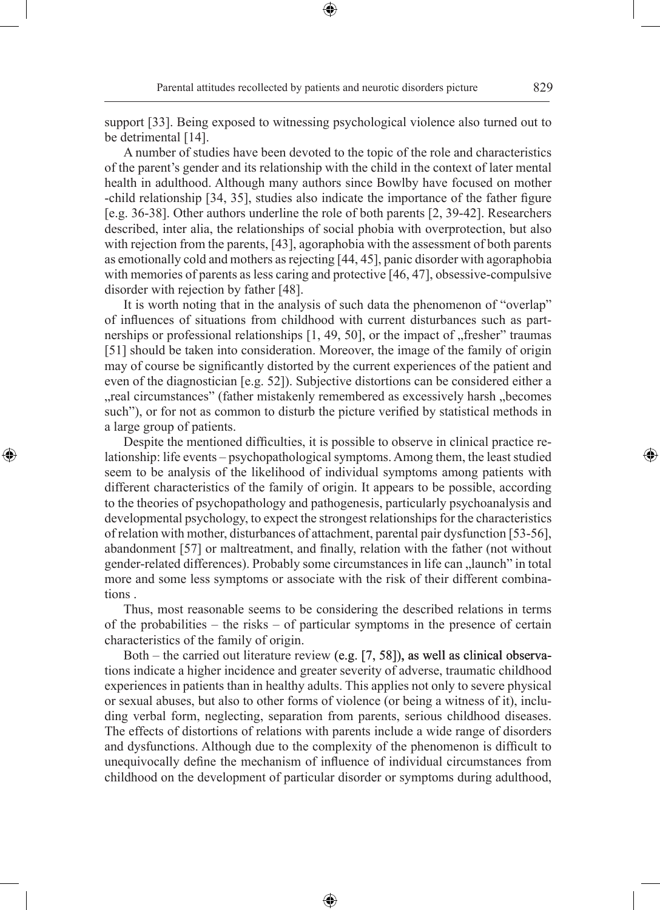Parental attitudes recollected by patients and neurotic disorders picture 829

◈

support [33]. Being exposed to witnessing psychological violence also turned out to be detrimental [14].

⊕

A number of studies have been devoted to the topic of the role and characteristics of the parent's gender and its relationship with the child in the context of later mental health in adulthood. Although many authors since Bowlby have focused on mother -child relationship [34, 35], studies also indicate the importance of the father figure [e.g. 36-38]. Other authors underline the role of both parents [2, 39-42]. Researchers described, inter alia, the relationships of social phobia with overprotection, but also with rejection from the parents, [43], agoraphobia with the assessment of both parents as emotionally cold and mothers as rejecting [44, 45], panic disorder with agoraphobia with memories of parents as less caring and protective [46, 47], obsessive-compulsive disorder with rejection by father [48].

It is worth noting that in the analysis of such data the phenomenon of "overlap" of influences of situations from childhood with current disturbances such as partnerships or professional relationships  $[1, 49, 50]$ , or the impact of "fresher" traumas [51] should be taken into consideration. Moreover, the image of the family of origin may of course be significantly distorted by the current experiences of the patient and even of the diagnostician [e.g. 52]). Subjective distortions can be considered either a "real circumstances" (father mistakenly remembered as excessively harsh "becomes such"), or for not as common to disturb the picture verified by statistical methods in a large group of patients.

Despite the mentioned difficulties, it is possible to observe in clinical practice relationship: life events – psychopathological symptoms. Among them, the least studied seem to be analysis of the likelihood of individual symptoms among patients with different characteristics of the family of origin. It appears to be possible, according to the theories of psychopathology and pathogenesis, particularly psychoanalysis and developmental psychology, to expect the strongest relationships for the characteristics of relation with mother, disturbances of attachment, parental pair dysfunction [53-56], abandonment [57] or maltreatment, and finally, relation with the father (not without gender-related differences). Probably some circumstances in life can "launch" in total more and some less symptoms or associate with the risk of their different combinations .

◈

Thus, most reasonable seems to be considering the described relations in terms of the probabilities – the risks – of particular symptoms in the presence of certain characteristics of the family of origin.

Both – the carried out literature review (e.g. [7, 58]), as well as clinical observations indicate a higher incidence and greater severity of adverse, traumatic childhood experiences in patients than in healthy adults. This applies not only to severe physical or sexual abuses, but also to other forms of violence (or being a witness of it), including verbal form, neglecting, separation from parents, serious childhood diseases. The effects of distortions of relations with parents include a wide range of disorders and dysfunctions. Although due to the complexity of the phenomenon is difficult to unequivocally define the mechanism of influence of individual circumstances from childhood on the development of particular disorder or symptoms during adulthood,

⊕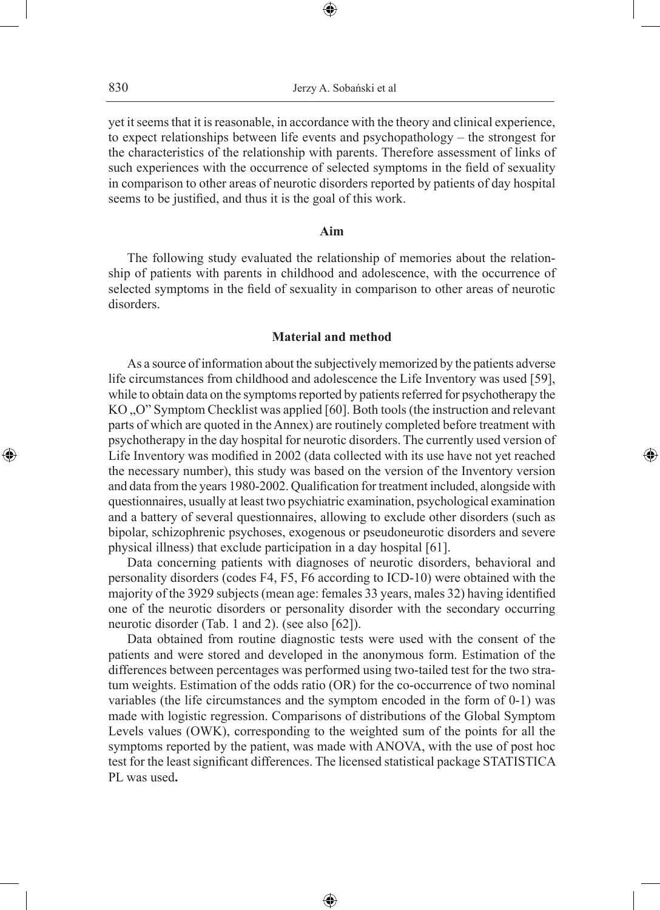yet it seems that it is reasonable, in accordance with the theory and clinical experience, to expect relationships between life events and psychopathology – the strongest for the characteristics of the relationship with parents. Therefore assessment of links of such experiences with the occurrence of selected symptoms in the field of sexuality in comparison to other areas of neurotic disorders reported by patients of day hospital seems to be justified, and thus it is the goal of this work.

### **Aim**

The following study evaluated the relationship of memories about the relationship of patients with parents in childhood and adolescence, with the occurrence of selected symptoms in the field of sexuality in comparison to other areas of neurotic disorders.

# **Material and method**

As a source of information about the subjectively memorized by the patients adverse life circumstances from childhood and adolescence the Life Inventory was used [59], while to obtain data on the symptoms reported by patients referred for psychotherapy the KO, O" Symptom Checklist was applied [60]. Both tools (the instruction and relevant parts of which are quoted in the Annex) are routinely completed before treatment with psychotherapy in the day hospital for neurotic disorders. The currently used version of Life Inventory was modified in 2002 (data collected with its use have not yet reached the necessary number), this study was based on the version of the Inventory version and data from the years 1980-2002. Qualification for treatment included, alongside with questionnaires, usually at least two psychiatric examination, psychological examination and a battery of several questionnaires, allowing to exclude other disorders (such as bipolar, schizophrenic psychoses, exogenous or pseudoneurotic disorders and severe physical illness) that exclude participation in a day hospital [61].

◈

Data concerning patients with diagnoses of neurotic disorders, behavioral and personality disorders (codes F4, F5, F6 according to ICD-10) were obtained with the majority of the 3929 subjects (mean age: females 33 years, males 32) having identified one of the neurotic disorders or personality disorder with the secondary occurring neurotic disorder (Tab. 1 and 2). (see also [62]).

Data obtained from routine diagnostic tests were used with the consent of the patients and were stored and developed in the anonymous form. Estimation of the differences between percentages was performed using two-tailed test for the two stratum weights. Estimation of the odds ratio (OR) for the co-occurrence of two nominal variables (the life circumstances and the symptom encoded in the form of 0-1) was made with logistic regression. Comparisons of distributions of the Global Symptom Levels values (OWK), corresponding to the weighted sum of the points for all the symptoms reported by the patient, was made with ANOVA, with the use of post hoc test for the least significant differences. The licensed statistical package STATISTICA PL was used**.**

⊕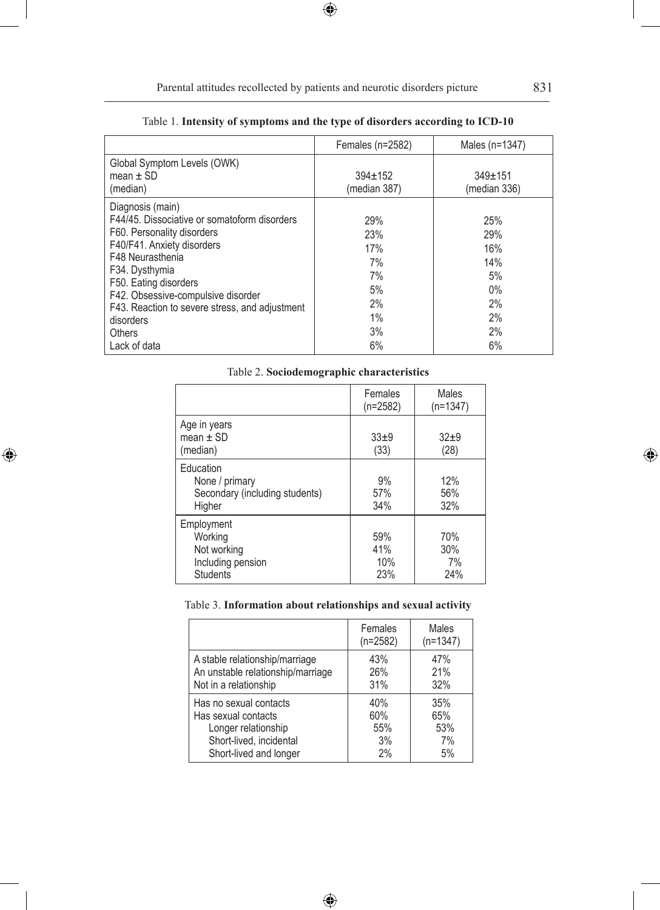$\bigoplus$ 

|                                                                                                                                                                                                                                                                                                            | Females $(n=2582)$                                    | Males (n=1347)                                            |
|------------------------------------------------------------------------------------------------------------------------------------------------------------------------------------------------------------------------------------------------------------------------------------------------------------|-------------------------------------------------------|-----------------------------------------------------------|
| Global Symptom Levels (OWK)<br>mean $\pm$ SD<br>(median)                                                                                                                                                                                                                                                   | $394 \pm 152$<br>(median 387)                         | $349 \pm 151$<br>(median 336)                             |
| Diagnosis (main)<br>F44/45. Dissociative or somatoform disorders<br>F60. Personality disorders<br>F40/F41. Anxiety disorders<br>F48 Neurasthenia<br>F34. Dysthymia<br>F50. Eating disorders<br>F42. Obsessive-compulsive disorder<br>F43. Reaction to severe stress, and adjustment<br>disorders<br>Others | 29%<br>23%<br>17%<br>7%<br>7%<br>5%<br>2%<br>1%<br>3% | 25%<br>29%<br>16%<br>14%<br>5%<br>$0\%$<br>2%<br>2%<br>2% |
| Lack of data                                                                                                                                                                                                                                                                                               | 6%                                                    | 6%                                                        |

# Table 1. **Intensity of symptoms and the type of disorders according to ICD-10**

 $\bigoplus$ 

### Table 2. **Sociodemographic characteristics**

|                                                                              | Females<br>$(n=2582)$    | Males<br>$(n=1347)$     |
|------------------------------------------------------------------------------|--------------------------|-------------------------|
| Age in years<br>mean $\pm$ SD<br>(median)                                    | $33+9$<br>(33)           | $32+9$<br>(28)          |
| Education<br>None / primary<br>Secondary (including students)<br>Higher      | 9%<br>57%<br>34%         | 12%<br>56%<br>32%       |
| Employment<br>Working<br>Not working<br>Including pension<br><b>Students</b> | 59%<br>41%<br>10%<br>23% | 70%<br>30%<br>7%<br>24% |

 $\bigoplus$ 

# Table 3. **Information about relationships and sexual activity**

|                                   | Females<br>$(n=2582)$ | Males<br>$(n=1347)$ |
|-----------------------------------|-----------------------|---------------------|
| A stable relationship/marriage    | 43%                   | 47%                 |
| An unstable relationship/marriage | 26%                   | 21%                 |
| Not in a relationship             | 31%                   | 32%                 |
| Has no sexual contacts            | 40%                   | 35%                 |
| Has sexual contacts               | 60%                   | 65%                 |
| Longer relationship               | 55%                   | 53%                 |
| Short-lived, incidental           | 3%                    | 7%                  |
| Short-lived and longer            | 2%                    | 5%                  |

 $\bigoplus$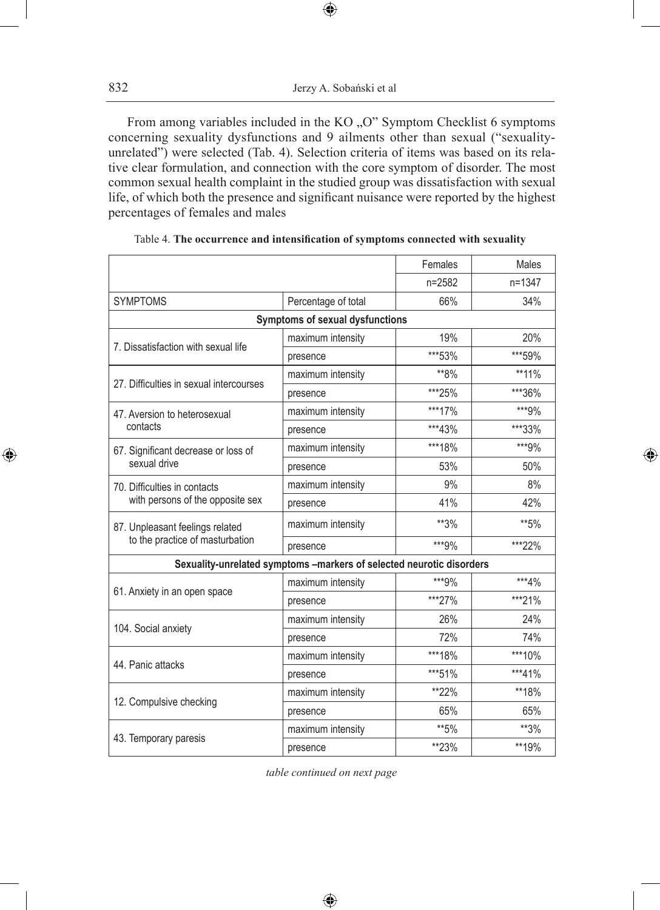$\bigoplus$ 

From among variables included in the KO "O" Symptom Checklist 6 symptoms concerning sexuality dysfunctions and 9 ailments other than sexual ("sexualityunrelated") were selected (Tab. 4). Selection criteria of items was based on its relative clear formulation, and connection with the core symptom of disorder. The most common sexual health complaint in the studied group was dissatisfaction with sexual life, of which both the presence and significant nuisance were reported by the highest percentages of females and males

|                                         |                                                                      | Females | Males      |
|-----------------------------------------|----------------------------------------------------------------------|---------|------------|
|                                         |                                                                      | n=2582  | $n = 1347$ |
| <b>SYMPTOMS</b>                         | Percentage of total                                                  | 66%     | 34%        |
|                                         | Symptoms of sexual dysfunctions                                      |         |            |
|                                         | maximum intensity                                                    | 19%     | 20%        |
| 7. Dissatisfaction with sexual life     | presence                                                             | ***53%  | ***59%     |
| 27. Difficulties in sexual intercourses | maximum intensity                                                    | **8%    | **11%      |
|                                         | presence                                                             | ***25%  | ***36%     |
| 47. Aversion to heterosexual            | maximum intensity                                                    | ***17%  | ***9%      |
| contacts                                | presence                                                             | ***43%  | ***33%     |
| 67. Significant decrease or loss of     | maximum intensity                                                    | ***18%  | ***9%      |
| sexual drive                            | presence                                                             | 53%     | 50%        |
| 70. Difficulties in contacts            | maximum intensity                                                    | 9%      | 8%         |
| with persons of the opposite sex        | presence                                                             | 41%     | 42%        |
| 87. Unpleasant feelings related         | maximum intensity                                                    | **3%    | **5%       |
| to the practice of masturbation         | presence                                                             | ***9%   | ***22%     |
|                                         | Sexuality-unrelated symptoms -markers of selected neurotic disorders |         |            |
| 61. Anxiety in an open space            | maximum intensity                                                    | ***9%   | ***4%      |
|                                         | presence                                                             | ***27%  | ***21%     |
|                                         | maximum intensity                                                    | 26%     | 24%        |
| 104. Social anxiety                     | presence                                                             | 72%     | 74%        |
| 44. Panic attacks                       | maximum intensity                                                    | ***18%  | ***10%     |
|                                         | presence                                                             | ***51%  | ***41%     |
|                                         | maximum intensity                                                    | **22%   | **18%      |
| 12. Compulsive checking                 | presence                                                             | 65%     | 65%        |
|                                         | maximum intensity                                                    | **5%    | **3%       |
| 43. Temporary paresis                   | presence                                                             | **23%   | **19%      |

| Table 4. The occurrence and intensification of symptoms connected with sexuality |  |
|----------------------------------------------------------------------------------|--|
|----------------------------------------------------------------------------------|--|

*table continued on next page*

⊕

 $\bigoplus$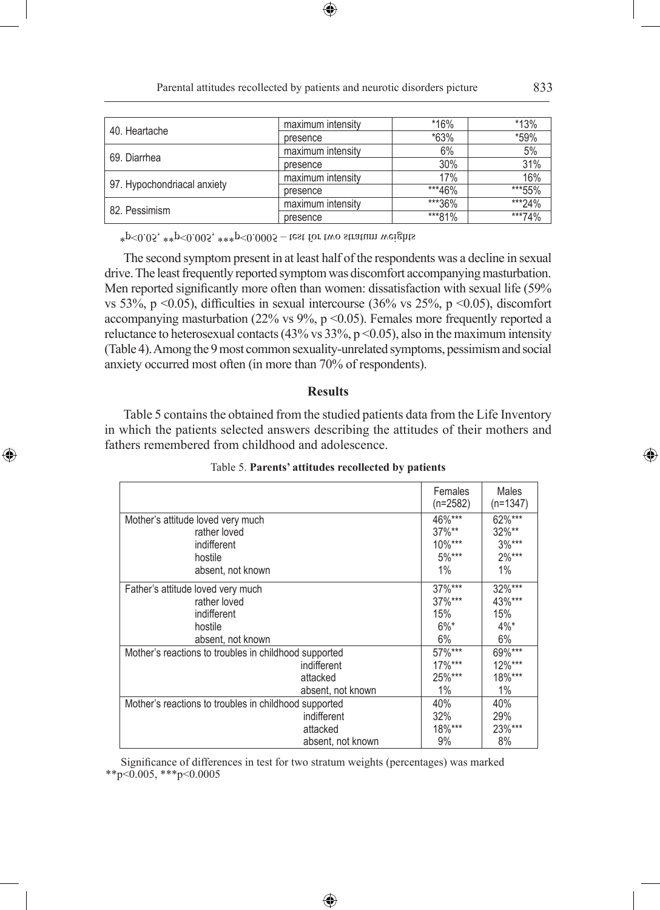|                             | maximum intensity | $*16%$ | *13%   |
|-----------------------------|-------------------|--------|--------|
| 40. Heartache               | presence          | *63%   | *59%   |
| 69. Diarrhea                | maximum intensity | 6%     | 5%     |
|                             | presence          | 30%    | 31%    |
|                             | maximum intensity | 17%    | 16%    |
| 97. Hypochondriacal anxiety | presence          | ***46% | ***55% |
| 82. Pessimism               | maximum intensity | ***36% | ***24% |
|                             | presence          | ***81% | ***74% |

Parental attitudes recollected by patients and neurotic disorders picture 833

⊕

 $*p<0.05$ ,  $*p<0.005$ ,  $**p<0.0005$  – test for two stratum weights

◈

The second symptom present in at least half of the respondents was a decline in sexual drive. The least frequently reported symptom was discomfort accompanying masturbation. Men reported significantly more often than women: dissatisfaction with sexual life (59% vs 53%, p <0.05), difficulties in sexual intercourse (36% vs 25%, p <0.05), discomfort accompanying masturbation (22% vs  $9\%$ , p < 0.05). Females more frequently reported a reluctance to heterosexual contacts (43% vs 33%,  $p \le 0.05$ ), also in the maximum intensity (Table 4). Among the 9 most common sexuality-unrelated symptoms, pessimism and social anxiety occurred most often (in more than 70% of respondents).

## **Results**

Table 5 contains the obtained from the studied patients data from the Life Inventory in which the patients selected answers describing the attitudes of their mothers and fathers remembered from childhood and adolescence.

|                                                       | Females<br>$(n=2582)$ | Males<br>(n=1347) |
|-------------------------------------------------------|-----------------------|-------------------|
| Mother's attitude loved very much                     | 46%***                | 62%***            |
| rather loved                                          | $37\%**$              | $32\%**$          |
| indifferent                                           | 10%***                | $3\%***$          |
| hostile                                               | $5\%***$              | $2\%***$          |
| absent, not known                                     | 1%                    | 1%                |
| Father's attitude loved very much                     | 37%***                | $32\sqrt{***}$    |
| rather loved                                          | $37\%***$             | 43%***            |
| indifferent                                           | 15%                   | 15%               |
| hostile                                               | $6\%$ *               | $4\%$ *           |
| absent, not known                                     | 6%                    | 6%                |
| Mother's reactions to troubles in childhood supported | $57\%***$             | 69%***            |
| indifferent                                           | $17\%***$             | $12\%***$         |
| attacked                                              | 25%***                | 18%***            |
| absent, not known                                     | 1%                    | 1%                |
| Mother's reactions to troubles in childhood supported | 40%                   | 40%               |
| indifferent                                           | 32%                   | 29%               |
| attacked                                              | 18%***                | 23%***            |
| absent, not known                                     | 9%                    | 8%                |

| Table 5. Parents' attitudes recollected by patients |  |  |  |
|-----------------------------------------------------|--|--|--|
|-----------------------------------------------------|--|--|--|

Significance of differences in test for two stratum weights (percentages) was marked  $*$ \*p<0.005, \*\*\*p<0.0005

⊕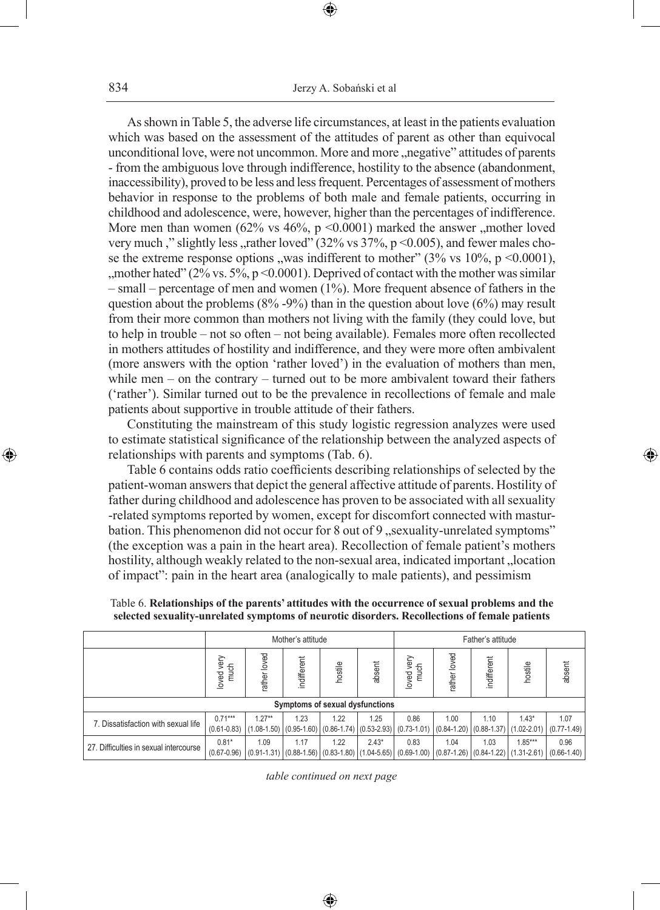As shown in Table 5, the adverse life circumstances, at least in the patients evaluation which was based on the assessment of the attitudes of parent as other than equivocal unconditional love, were not uncommon. More and more "negative" attitudes of parents - from the ambiguous love through indifference, hostility to the absence (abandonment, inaccessibility), proved to be less and less frequent. Percentages of assessment of mothers behavior in response to the problems of both male and female patients, occurring in childhood and adolescence, were, however, higher than the percentages of indifference. More men than women  $(62\% \text{ vs } 46\%, \text{ p} < 0.0001)$  marked the answer , mother loved very much," slightly less, rather loved"  $(32\% \text{ vs } 37\%, \text{ p} < 0.005)$ , and fewer males chose the extreme response options "was indifferent to mother"  $(3\% \text{ vs } 10\%, \text{ p} < 0.0001)$ ", ", mother hated" ( $2\%$  vs. 5%, p <0.0001). Deprived of contact with the mother was similar – small – percentage of men and women (1%). More frequent absence of fathers in the question about the problems  $(8\% -9\%)$  than in the question about love  $(6\%)$  may result from their more common than mothers not living with the family (they could love, but to help in trouble – not so often – not being available). Females more often recollected in mothers attitudes of hostility and indifference, and they were more often ambivalent (more answers with the option 'rather loved') in the evaluation of mothers than men, while men – on the contrary – turned out to be more ambivalent toward their fathers ('rather'). Similar turned out to be the prevalence in recollections of female and male patients about supportive in trouble attitude of their fathers.

Constituting the mainstream of this study logistic regression analyzes were used to estimate statistical significance of the relationship between the analyzed aspects of relationships with parents and symptoms (Tab. 6).

◈

Table 6 contains odds ratio coefficients describing relationships of selected by the patient-woman answers that depict the general affective attitude of parents. Hostility of father during childhood and adolescence has proven to be associated with all sexuality -related symptoms reported by women, except for discomfort connected with masturbation. This phenomenon did not occur for 8 out of 9 ..sexuality-unrelated symptoms" (the exception was a pain in the heart area). Recollection of female patient's mothers hostility, although weakly related to the non-sexual area, indicated important "location of impact": pain in the heart area (analogically to male patients), and pessimism

Table 6. **Relationships of the parents' attitudes with the occurrence of sexual problems and the selected sexuality-unrelated symptoms of neurotic disorders. Recollections of female patients**

|                                        | Mother's attitude            |                             |             |                                                                  |         |                                                                 | Father's attitude                       |             |                              |                         |
|----------------------------------------|------------------------------|-----------------------------|-------------|------------------------------------------------------------------|---------|-----------------------------------------------------------------|-----------------------------------------|-------------|------------------------------|-------------------------|
|                                        | yery<br>much<br>loved        | loved<br>ather              | indifferent | hostile                                                          | absent  | yery<br>much<br>loved                                           | loved<br>ather                          | indifferent | hostile                      | absent                  |
|                                        |                              |                             |             | Symptoms of sexual dysfunctions                                  |         |                                                                 |                                         |             |                              |                         |
| 7. Dissatisfaction with sexual life    | $0.71***$<br>$(0.61 - 0.83)$ | $1.27**$<br>$(1.08 - 1.50)$ | 1.23        | 1.22                                                             | 1.25    | 0.86<br>$(0.95-1.60)$ $(0.86-1.74)$ $(0.53-2.93)$ $(0.73-1.01)$ | 1.00<br>$(0.84 - 1.20)$ $(0.88 - 1.37)$ | 1.10        | $1.43*$<br>$(1.02 - 2.01)$   | 1.07<br>$(0.77 - 1.49)$ |
| 27. Difficulties in sexual intercourse | $0.81*$<br>$(0.67 - 0.96)$   | 1.09<br>$(0.91 - 1.31)$     | 1.17        | 1.22<br>$\mid$ (0.88-1.56) $\mid$ (0.83-1.80) $\mid$ (1.04-5.65) | $2.43*$ | 0.83<br>$(0.69 - 1.00)$                                         | 1.04<br>$(0.87 - 1.26)$ $(0.84 - 1.22)$ | 1.03        | $1.85***$<br>$(1.31 - 2.61)$ | 0.96<br>$(0.66 - 1.40)$ |

*table continued on next page*

◈

♠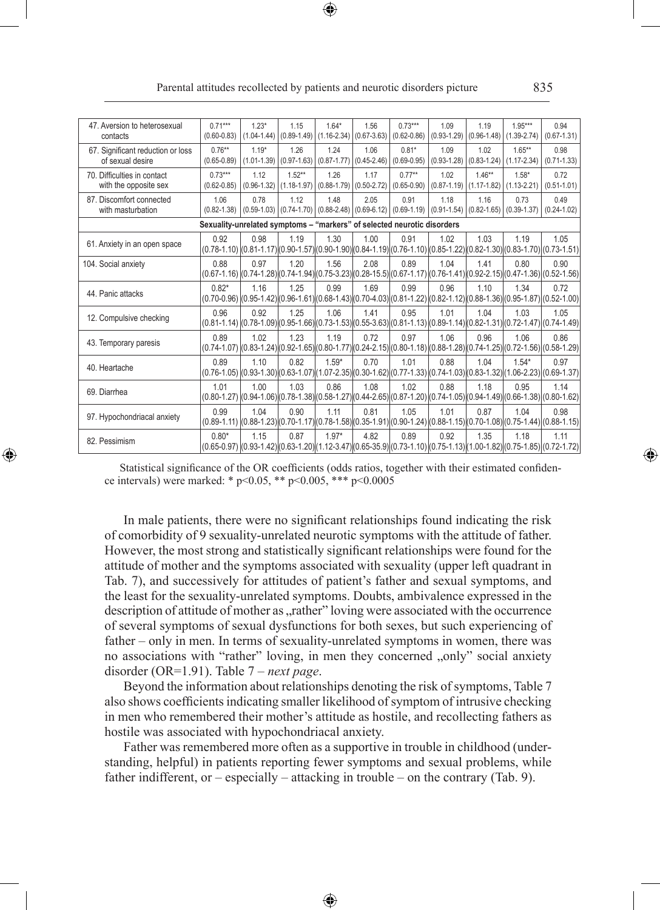| 47. Aversion to heterosexual<br>contacts              | $0.71***$<br>$(0.60 - 0.83)$                                                                                                                        | $1.23*$<br>$(1.04 - 1.44)$ | 1.15                                                                                                          | $1.64*$<br>$(0.89-1.49)$ $(1.16-2.34)$ $(0.67-3.63)$    | 1.56                    | $0.73***$<br>$(0.62 - 0.86)$                                                                                                                        | 1.09                                    | 1.19<br>$(0.93-1.29)$ $(0.96-1.48)$               | $1.95***$<br>$(1.39 - 2.74)$ | 0.94<br>$(0.67 - 1.31)$ |
|-------------------------------------------------------|-----------------------------------------------------------------------------------------------------------------------------------------------------|----------------------------|---------------------------------------------------------------------------------------------------------------|---------------------------------------------------------|-------------------------|-----------------------------------------------------------------------------------------------------------------------------------------------------|-----------------------------------------|---------------------------------------------------|------------------------------|-------------------------|
| 67. Significant reduction or loss<br>of sexual desire | $0.76**$<br>$(0.65 - 0.89)$                                                                                                                         | $1.19*$<br>$(1.01 - 1.39)$ | 1.26<br>$(0.97 - 1.63)$                                                                                       | 1.24<br>$(0.87 - 1.77)$                                 | 1.06<br>$(0.45 - 2.46)$ | $0.81*$<br>$(0.69 - 0.95)$                                                                                                                          | 1.09<br>$(0.93 - 1.28)$                 | 1.02<br>$(0.83 - 1.24)$                           | $1.65**$<br>$(1.17 - 2.34)$  | 0.98<br>$(0.71 - 1.33)$ |
| 70. Difficulties in contact<br>with the opposite sex  | $0.73***$<br>$(0.62 - 0.85)$                                                                                                                        | 1.12<br>$(0.96 - 1.32)$    | $1.52**$                                                                                                      | 1.26<br>$(1.18 - 1.97)$ $(0.88 - 1.79)$ $(0.50 - 2.72)$ | 1.17                    | $0.77***$<br>$(0.65 - 0.90)$                                                                                                                        | 1.02<br>$(0.87 - 1.19)$ $(1.17 - 1.82)$ | $1.46**$                                          | $1.58*$<br>$(1.13 - 2.21)$   | 0.72<br>$(0.51 - 1.01)$ |
| 87. Discomfort connected<br>with masturbation         | 1.06<br>$(0.82 - 1.38)$                                                                                                                             | 0.78                       | 1.12<br>$\left(0.59 - 1.03\right) \left(0.74 - 1.70\right) \left(0.88 - 2.48\right) \left(0.69 - 6.12\right)$ | 1.48                                                    | 2.05                    | 0.91<br>$(0.69 - 1.19)$                                                                                                                             | 1.18                                    | 1.16<br>$(0.91-1.54)$ $(0.82-1.65)$ $(0.39-1.37)$ | 0.73                         | 0.49<br>$(0.24 - 1.02)$ |
|                                                       | Sexuality-unrelated symptoms - "markers" of selected neurotic disorders                                                                             |                            |                                                                                                               |                                                         |                         |                                                                                                                                                     |                                         |                                                   |                              |                         |
| 61. Anxiety in an open space                          | 0.92<br>$(0.78-1.10)$ $(0.81-1.17)$ $(0.90-1.57)$ $(0.90-1.90)$ $(0.84-1.19)$ $(0.76-1.10)$ $(0.85-1.22)$ $(0.82-1.30)$ $(0.83-1.70)$ $(0.73-1.51)$ | 0.98                       | 1.19                                                                                                          | 1.30                                                    | 1.00                    | 0.91                                                                                                                                                | 1.02                                    | 1.03                                              | 1.19                         | 1.05                    |
| 104. Social anxiety                                   | 0.88                                                                                                                                                | 0.97                       | 1.20                                                                                                          | 1.56                                                    | 2.08                    | 0.89<br>$(0.67-1.16)$ $(0.74-1.28)$ $(0.74-1.94)$ $(0.75-3.23)$ $(0.28-15.5)$ $(0.67-1.17)$ $(0.76-1.41)$ $(0.92-2.15)$ $(0.47-1.36)$ $(0.52-1.56)$ | 1.04                                    | 1.41                                              | 0.80                         | 0.90                    |
| 44. Panic attacks                                     | $0.82*$                                                                                                                                             | 1.16                       | 1.25                                                                                                          | 0.99                                                    | 1.69                    | 0.99<br>$(0.70-0.96)$ $(0.95-1.42)$ $(0.96-1.61)$ $(0.68-1.43)$ $(0.70-4.03)$ $(0.81-1.22)$ $(0.82-1.12)$ $(0.88-1.36)$ $(0.95-1.87)$ $(0.52-1.00)$ | 0.96                                    | 1.10                                              | 1.34                         | 0.72                    |
| 12. Compulsive checking                               | 0.96<br>$(0.81-1.14)$ $(0.78-1.09)$ $(0.95-1.66)$ $(0.73-1.53)$ $(0.55-3.63)$ $(0.81-1.13)$ $(0.89-1.14)$ $(0.82-1.31)$ $(0.72-1.47)$ $(0.74-1.49)$ | 0.92                       | 1.25                                                                                                          | 1.06                                                    | 1.41                    | 0.95                                                                                                                                                | 1.01                                    | 1.04                                              | 1.03                         | 1.05                    |
| 43. Temporary paresis                                 | 0.89<br>$(0.74-1.07)(0.83-1.24)(0.92-1.65)(0.80-1.77)(0.24-2.15)(0.80-1.18)(0.88-1.28)(0.74-1.25)(0.72-1.56)(0.58-1.29)$                            | 1.02                       | 1.23                                                                                                          | 1.19                                                    | 0.72                    | 0.97                                                                                                                                                | 1.06                                    | 0.96                                              | 1.06                         | 0.86                    |
| 40. Heartache                                         | 0.89                                                                                                                                                | 110                        | 0.82                                                                                                          | $1.59*$                                                 | 0.70                    | 1.01<br>$(0.76-1.05)(0.93-1.30)(0.63-1.07)(1.07-2.35)(0.30-1.62)(0.77-1.33)(0.74-1.03)(0.83-1.32)(1.06-2.23)(0.69-1.37)$                            | 0.88                                    | 1.04                                              | $1.54*$                      | 0.97                    |
| 69. Diarrhea                                          | 1.01<br>$(0.80-1.27)(0.94-1.06)(0.78-1.38)(0.58-1.27)(0.44-2.65)(0.87-1.20)(0.74-1.05)(0.94-1.49)(0.66-1.38)(0.80-1.62)$                            | 1.00                       | 1.03                                                                                                          | 0.86                                                    | 1.08                    | 1.02                                                                                                                                                | 0.88                                    | 1.18                                              | 0.95                         | 1.14                    |
| 97. Hypochondriacal anxiety                           | 0.99<br>$(0.89-1.11)$ $(0.88-1.23)$ $(0.70-1.17)$ $(0.78-1.58)$ $(0.35-1.91)$ $(0.90-1.24)$ $(0.88-1.15)$ $(0.70-1.08)$ $(0.75-1.44)$ $(0.88-1.15)$ | 1.04                       | 0.90                                                                                                          | 1.11                                                    | 0.81                    | 1.05                                                                                                                                                | 1.01                                    | 0.87                                              | 1.04                         | 0.98                    |
| 82. Pessimism                                         | $0.80*$<br>$(0.65-0.97)(0.93-1.42)(0.63-1.20)(1.12-3.47)(0.65-35.9)(0.73-1.10)(0.75-1.13)(1.00-1.82)(0.75-1.85)(0.72-1.72)$                         | 1 15                       | 0.87                                                                                                          | $1.97*$                                                 | 4.82                    | 0.89                                                                                                                                                | 0.92                                    | 1.35                                              | 1 1 8                        | 1.11                    |

Parental attitudes recollected by patients and neurotic disorders picture 835

Statistical significance of the OR coefficients (odds ratios, together with their estimated confidence intervals) were marked: \* p<0.05, \*\* p<0.005, \*\*\* p<0.0005

◈

In male patients, there were no significant relationships found indicating the risk of comorbidity of 9 sexuality-unrelated neurotic symptoms with the attitude of father. However, the most strong and statistically significant relationships were found for the attitude of mother and the symptoms associated with sexuality (upper left quadrant in Tab. 7), and successively for attitudes of patient's father and sexual symptoms, and the least for the sexuality-unrelated symptoms. Doubts, ambivalence expressed in the description of attitude of mother as "rather" loving were associated with the occurrence of several symptoms of sexual dysfunctions for both sexes, but such experiencing of father – only in men. In terms of sexuality-unrelated symptoms in women, there was no associations with "rather" loving, in men they concerned "only" social anxiety disorder (OR=1.91). Table 7 – *next page*.

Beyond the information about relationships denoting the risk of symptoms, Table 7 also shows coefficients indicating smaller likelihood of symptom of intrusive checking in men who remembered their mother's attitude as hostile, and recollecting fathers as hostile was associated with hypochondriacal anxiety.

Father was remembered more often as a supportive in trouble in childhood (understanding, helpful) in patients reporting fewer symptoms and sexual problems, while father indifferent, or – especially – attacking in trouble – on the contrary (Tab. 9).

♠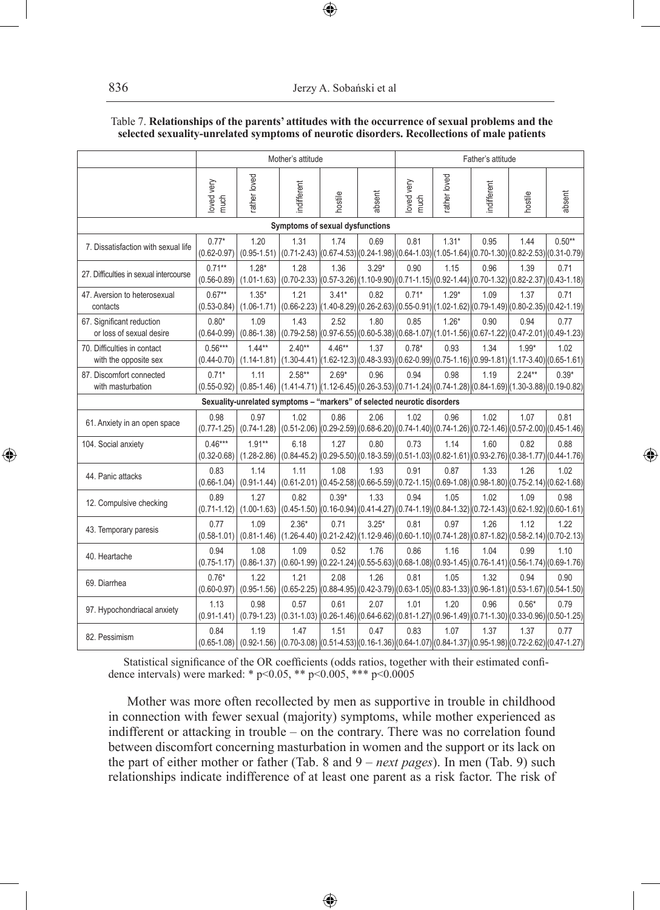|                                                       |                              |                                                                                                                                                     | Mother's attitude                                                                                                           |          |         | Father's attitude  |             |            |          |          |
|-------------------------------------------------------|------------------------------|-----------------------------------------------------------------------------------------------------------------------------------------------------|-----------------------------------------------------------------------------------------------------------------------------|----------|---------|--------------------|-------------|------------|----------|----------|
|                                                       | oved very<br>much            | ather loved                                                                                                                                         | ndifferent                                                                                                                  | hostile  | absent  | loved very<br>much | ather loved | ndifferent | hostile  | absent   |
|                                                       |                              |                                                                                                                                                     | Symptoms of sexual dysfunctions                                                                                             |          |         |                    |             |            |          |          |
| 7. Dissatisfaction with sexual life                   | $0.77*$<br>$(0.62 - 0.97)$   | 1.20<br>$(0.95 - 1.51)$                                                                                                                             | 1.31<br>(0.71-2.43) $ (0.67-4.53) (0.24-1.98) (0.64-1.03) (1.05-1.64) (0.70-1.30) (0.82-2.53) (0.31-0.79)$                  | 1.74     | 0.69    | 0.81               | $1.31*$     | 0.95       | 1.44     | $0.50**$ |
| 27. Difficulties in sexual intercourse                | $0.71**$<br>$(0.56 - 0.89)$  | $1.28*$<br>$(1.01 - 1.63)$                                                                                                                          | 1.28<br>$(0.70-2.33)$ $(0.57-3.26)$ $(1.10-9.90)$ $(0.71-1.15)$ $(0.92-1.44)$ $(0.70-1.32)$ $(0.82-2.37)$ $(0.43-1.18)$     | 1.36     | $3.29*$ | 0.90               | 1.15        | 0.96       | 1.39     | 0.71     |
| 47. Aversion to heterosexual<br>contacts              | $0.67**$<br>$(0.53 - 0.84)$  | $1.35*$<br>$(1.06 - 1.71)$                                                                                                                          | 1.21<br>$(0.66-2.23)$ $(1.40-8.29)$ $(0.26-2.63)$ $(0.55-0.91)$ $(1.02-1.62)$ $(0.79-1.49)$ $(0.80-2.35)$ $(0.42-1.19)$     | $3.41*$  | 0.82    | $0.71*$            | $1.29*$     | 1.09       | 1.37     | 0.71     |
| 67. Significant reduction<br>or loss of sexual desire | $0.80*$<br>$(0.64 - 0.99)$   | 1.09<br>$(0.86 - 1.38)$                                                                                                                             | 1.43<br>$(0.79-2.58)$ $(0.97-6.55)$ $(0.60-5.38)$ $(0.68-1.07)$ $(1.01-1.56)$ $(0.67-1.22)$ $(0.47-2.01)$ $(0.49-1.23)$     | 2.52     | 1.80    | 0.85               | $1.26*$     | 0.90       | 0.94     | 0.77     |
| 70. Difficulties in contact<br>with the opposite sex  | $0.56***$<br>$(0.44 - 0.70)$ | $1.44**$<br>$(1.14 - 1.81)$                                                                                                                         | $2.40**$<br>$(1.30-4.41)$ $(1.62-12.3)$ $(0.48-3.93)$ $(0.62-0.99)$ $(0.75-1.16)$ $(0.99-1.81)$ $(1.17-3.40)$ $(0.65-1.61)$ | $4.46**$ | 1.37    | $0.78*$            | 0.93        | 1.34       | $1.99*$  | 1.02     |
| 87. Discomfort connected<br>with masturbation         | $0.71*$                      | 1.11<br>$(0.55-0.92)$ $(0.85-1.46)$ $(1.41-4.71)$ $(1.12-6.45)$ $(0.26-3.53)$ $(0.71-1.24)$ $(0.74-1.28)$ $(0.84-1.69)$ $(1.30-3.88)$ $(0.19-0.82)$ | $2.58**$                                                                                                                    | $2.69*$  | 0.96    | 0.94               | 0.98        | 1.19       | $2.24**$ | $0.39*$  |
|                                                       |                              | Sexuality-unrelated symptoms - "markers" of selected neurotic disorders                                                                             |                                                                                                                             |          |         |                    |             |            |          |          |
| 61. Anxiety in an open space                          | 0.98<br>$(0.77 - 1.25)$      | 0.97<br>$(0.74 - 1.28)$                                                                                                                             | 1.02<br>$(0.51-2.06)$ $(0.29-2.59)$ $(0.68-6.20)$ $(0.74-1.40)$ $(0.74-1.26)$ $(0.72-1.46)$ $(0.57-2.00)$ $(0.45-1.46)$     | 0.86     | 2.06    | 1.02               | 0.96        | 1.02       | 1.07     | 0.81     |
| 104. Social anxiety                                   | $0.46***$<br>$(0.32 - 0.68)$ | $1.91**$<br>$(1.28 - 2.86)$                                                                                                                         | 6.18<br>$(0.84-45.2)$ $(0.29-5.50)$ $(0.18-3.59)$ $(0.51-1.03)$ $(0.82-1.61)$ $(0.93-2.76)$ $(0.38-1.77)$ $(0.44-1.76)$     | 1.27     | 0.80    | 0.73               | 1.14        | 1.60       | 0.82     | 0.88     |
| 44. Panic attacks                                     | 0.83<br>$(0.66 - 1.04)$      | 1.14<br>$(0.91 - 1.44)$                                                                                                                             | 1.11<br>$(0.61-2.01)$ $(0.45-2.58)$ $(0.66-5.59)$ $(0.72-1.15)$ $(0.69-1.08)$ $(0.98-1.80)$ $(0.75-2.14)$ $(0.62-1.68)$     | 1.08     | 1.93    | 0.91               | 0.87        | 1.33       | 1.26     | 1.02     |
| 12. Compulsive checking                               | 0.89<br>$(0.71 - 1.12)$      | 1.27<br>$(1.00 - 1.63)$                                                                                                                             | 0.82<br>$(0.45-1.50)$ $(0.16-0.94)$ $(0.41-4.27)$ $(0.74-1.19)$ $(0.84-1.32)$ $(0.72-1.43)$ $(0.62-1.92)$ $(0.60-1.61)$     | $0.39*$  | 1.33    | 0.94               | 1.05        | 1.02       | 1.09     | 0.98     |
| 43. Temporary paresis                                 | 0.77<br>$(0.58 - 1.01)$      | 1.09<br>$(0.81 - 1.46)$                                                                                                                             | $2.36*$<br>$(1.26-4.40)$ $(0.21-2.42)$ $(1.12-9.46)$ $(0.60-1.10)$ $(0.74-1.28)$ $(0.87-1.82)$ $(0.58-2.14)$ $(0.70-2.13)$  | 0.71     | $3.25*$ | 0.81               | 0.97        | 1.26       | 1.12     | 1.22     |
| 40. Heartache                                         | 0.94<br>$(0.75 - 1.17)$      | 1.08<br>$(0.86 - 1.37)$                                                                                                                             | 1.09<br>$(0.60-1.99)$ $(0.22-1.24)$ $(0.55-5.63)$ $(0.68-1.08)$ $(0.93-1.45)$ $(0.76-1.41)$ $(0.56-1.74)$ $(0.69-1.76)$     | 0.52     | 1.76    | 0.86               | 1.16        | 1.04       | 0.99     | 1.10     |
| 69. Diarrhea                                          | $0.76*$<br>$(0.60 - 0.97)$   | 1.22<br>$(0.95 - 1.56)$                                                                                                                             | 1.21<br>$(0.65-2.25)$ $(0.88-4.95)$ $(0.42-3.79)$ $(0.63-1.05)$ $(0.83-1.33)$ $(0.96-1.81)$ $(0.53-1.67)$ $(0.54-1.50)$     | 2.08     | 1.26    | 0.81               | 1.05        | 1.32       | 0.94     | 0.90     |
| 97. Hypochondriacal anxiety                           | 1.13<br>$(0.91 - 1.41)$      | 0.98<br>$(0.79 - 1.23)$                                                                                                                             | 0.57<br>$(0.31-1.03)$ $(0.26-1.46)$ $(0.64-6.62)$ $(0.81-1.27)$ $(0.96-1.49)$ $(0.71-1.30)$ $(0.33-0.96)$ $(0.50-1.25)$     | 0.61     | 2.07    | 1.01               | 1.20        | 0.96       | $0.56*$  | 0.79     |
| 82. Pessimism                                         | 0.84                         | 1.19<br>$(0.65-1.08)$ $(0.92-1.56)$ $(0.70-3.08)$ $(0.51-4.53)$ $(0.16-1.36)$ $(0.64-1.07)$ $(0.84-1.37)$ $(0.95-1.98)$ $(0.72-2.62)$ $(0.47-1.27)$ | 1.47                                                                                                                        | 1.51     | 0.47    | 0.83               | 1.07        | 1.37       | 1.37     | 0.77     |

### Table 7. **Relationships of the parents' attitudes with the occurrence of sexual problems and the selected sexuality-unrelated symptoms of neurotic disorders. Recollections of male patients**

 $\bigoplus$ 

Statistical significance of the OR coefficients (odds ratios, together with their estimated confidence intervals) were marked: \* p<0.05, \*\* p<0.005, \*\*\* p<0.0005

Mother was more often recollected by men as supportive in trouble in childhood in connection with fewer sexual (majority) symptoms, while mother experienced as indifferent or attacking in trouble – on the contrary. There was no correlation found between discomfort concerning masturbation in women and the support or its lack on the part of either mother or father (Tab. 8 and 9 – *next pages*). In men (Tab. 9) such relationships indicate indifference of at least one parent as a risk factor. The risk of

⊕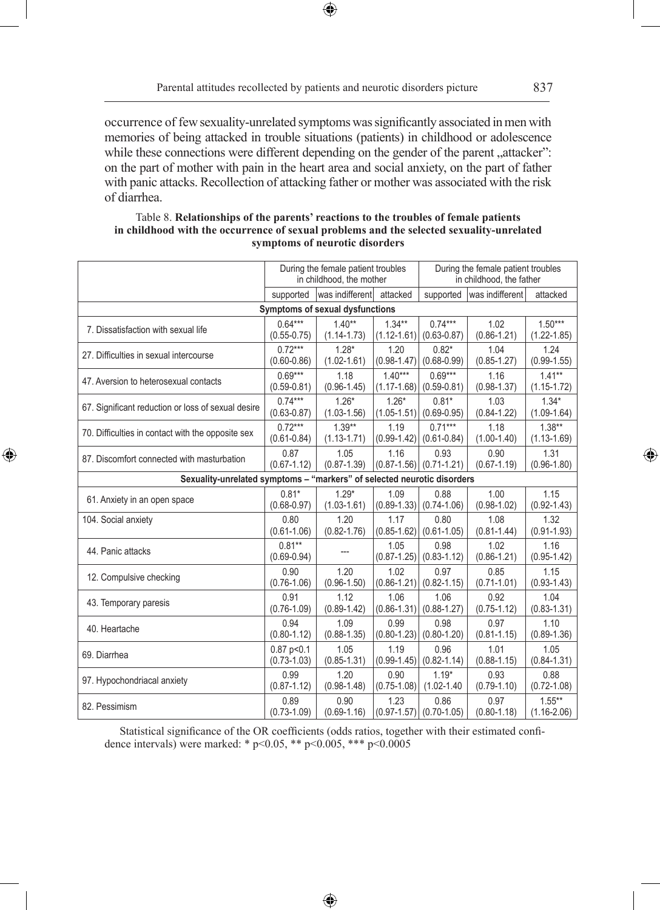$\bigoplus$ 

⊕

occurrence of few sexuality-unrelated symptoms was significantly associated in men with memories of being attacked in trouble situations (patients) in childhood or adolescence while these connections were different depending on the gender of the parent "attacker": on the part of mother with pain in the heart area and social anxiety, on the part of father with panic attacks. Recollection of attacking father or mother was associated with the risk of diarrhea.

|                                                                         |                             | During the female patient troubles<br>in childhood, the mother |                         | During the female patient troubles<br>in childhood, the father |                         |                              |
|-------------------------------------------------------------------------|-----------------------------|----------------------------------------------------------------|-------------------------|----------------------------------------------------------------|-------------------------|------------------------------|
|                                                                         | supported                   | was indifferent attacked                                       |                         | supported                                                      | was indifferent         | attacked                     |
|                                                                         |                             | Symptoms of sexual dysfunctions                                |                         |                                                                |                         |                              |
| 7. Dissatisfaction with sexual life                                     | $0.64***$                   | $1.40**$                                                       | $1.34**$                | $0.74***$                                                      | 1.02                    | $1.50***$                    |
|                                                                         | $(0.55 - 0.75)$             | $(1.14 - 1.73)$                                                | $(1.12 - 1.61)$         | $(0.63 - 0.87)$                                                | $(0.86 - 1.21)$         | $(1.22 - 1.85)$              |
| 27. Difficulties in sexual intercourse                                  | $0.72***$                   | $1.28*$                                                        | 1.20                    | $0.82*$                                                        | 1.04                    | 1.24                         |
|                                                                         | $(0.60 - 0.86)$             | $(1.02 - 1.61)$                                                | $(0.98 - 1.47)$         | $(0.68 - 0.99)$                                                | $(0.85 - 1.27)$         | $(0.99 - 1.55)$              |
| 47. Aversion to heterosexual contacts                                   | $0.69***$                   | 1.18                                                           | $1.40***$               | $0.69***$                                                      | 1.16                    | $1.41***$                    |
|                                                                         | $(0.59 - 0.81)$             | $(0.96 - 1.45)$                                                | $(1.17 - 1.68)$         | $(0.59 - 0.81)$                                                | $(0.98 - 1.37)$         | $(1.15 - 1.72)$              |
| 67. Significant reduction or loss of sexual desire                      | $0.74***$                   | $1.26*$                                                        | $1.26*$                 | $0.81*$                                                        | 1.03                    | $1.34*$                      |
|                                                                         | $(0.63 - 0.87)$             | $(1.03 - 1.56)$                                                | $(1.05 - 1.51)$         | $(0.69 - 0.95)$                                                | $(0.84 - 1.22)$         | $(1.09 - 1.64)$              |
| 70. Difficulties in contact with the opposite sex                       | $0.72***$                   | $1.39**$                                                       | 1.19                    | $0.71***$                                                      | 1.18                    | $1.38**$                     |
|                                                                         | $(0.61 - 0.84)$             | $(1.13 - 1.71)$                                                | $(0.99 - 1.42)$         | $(0.61 - 0.84)$                                                | $(1.00-1.40)$           | $(1.13 - 1.69)$              |
| 87. Discomfort connected with masturbation                              | 0.87<br>$(0.67 - 1.12)$     | 1.05<br>$(0.87 - 1.39)$                                        | 1.16                    | 0.93<br>$(0.87 - 1.56)$ $(0.71 - 1.21)$                        | 0.90<br>$(0.67 - 1.19)$ | 1.31<br>$(0.96 - 1.80)$      |
| Sexuality-unrelated symptoms - "markers" of selected neurotic disorders |                             |                                                                |                         |                                                                |                         |                              |
| 61. Anxiety in an open space                                            | $0.81*$<br>$(0.68 - 0.97)$  | $1.29*$<br>$(1.03 - 1.61)$                                     | 1.09                    | 0.88<br>$(0.89-1.33)$ $(0.74-1.06)$                            | 1.00<br>$(0.98 - 1.02)$ | 1.15<br>$(0.92 - 1.43)$      |
| 104. Social anxiety                                                     | 0.80                        | 1.20                                                           | 1.17                    | 0.80                                                           | 1.08                    | 1.32                         |
|                                                                         | $(0.61 - 1.06)$             | $(0.82 - 1.76)$                                                | $(0.85 - 1.62)$         | $(0.61 - 1.05)$                                                | $(0.81 - 1.44)$         | $(0.91 - 1.93)$              |
| 44. Panic attacks                                                       | $0.81**$<br>$(0.69 - 0.94)$ |                                                                | 1.05<br>$(0.87 - 1.25)$ | 0.98<br>$(0.83 - 1.12)$                                        | 1.02<br>$(0.86 - 1.21)$ | 1.16<br>$(0.95 - 1.42)$      |
| 12. Compulsive checking                                                 | 0.90                        | 1.20                                                           | 1.02                    | 0.97                                                           | 0.85                    | 1.15                         |
|                                                                         | $(0.76 - 1.06)$             | $(0.96 - 1.50)$                                                | $(0.86 - 1.21)$         | $(0.82 - 1.15)$                                                | $(0.71 - 1.01)$         | $(0.93 - 1.43)$              |
| 43. Temporary paresis                                                   | 0.91                        | 1.12                                                           | 1.06                    | 1.06                                                           | 0.92                    | 1.04                         |
|                                                                         | $(0.76 - 1.09)$             | $(0.89 - 1.42)$                                                | $(0.86 - 1.31)$         | $(0.88 - 1.27)$                                                | $(0.75 - 1.12)$         | $(0.83 - 1.31)$              |
| 40. Heartache                                                           | 0.94                        | 1.09                                                           | 0.99                    | 0.98                                                           | 0.97                    | 1.10                         |
|                                                                         | $(0.80 - 1.12)$             | $(0.88 - 1.35)$                                                | $(0.80 - 1.23)$         | $(0.80 - 1.20)$                                                | $(0.81 - 1.15)$         | $(0.89 - 1.36)$              |
| 69. Diarrhea                                                            | $0.87$ p < $0.1$            | 1.05                                                           | 1.19                    | 0.96                                                           | 1.01                    | 1.05                         |
|                                                                         | $(0.73 - 1.03)$             | $(0.85 - 1.31)$                                                | $(0.99 - 1.45)$         | $(0.82 - 1.14)$                                                | $(0.88 - 1.15)$         | $(0.84 - 1.31)$              |
| 97. Hypochondriacal anxiety                                             | 0.99                        | 1.20                                                           | 0.90                    | $1.19*$                                                        | 0.93                    | 0.88                         |
|                                                                         | $(0.87 - 1.12)$             | $(0.98 - 1.48)$                                                | $(0.75 - 1.08)$         | $(1.02 - 1.40)$                                                | $(0.79 - 1.10)$         | $(0.72 - 1.08)$              |
| 82. Pessimism                                                           | 0.89<br>$(0.73 - 1.09)$     | 0.90<br>$(0.69 - 1.16)$                                        | 1.23                    | 0.86<br>$(0.97 - 1.57)$ $(0.70 - 1.05)$                        | 0.97<br>$(0.80 - 1.18)$ | $1.55***$<br>$(1.16 - 2.06)$ |

◈

### Table 8. **Relationships of the parents' reactions to the troubles of female patients in childhood with the occurrence of sexual problems and the selected sexuality-unrelated symptoms of neurotic disorders**

Statistical significance of the OR coefficients (odds ratios, together with their estimated confidence intervals) were marked: \* p<0.05, \*\* p<0.005, \*\*\* p<0.0005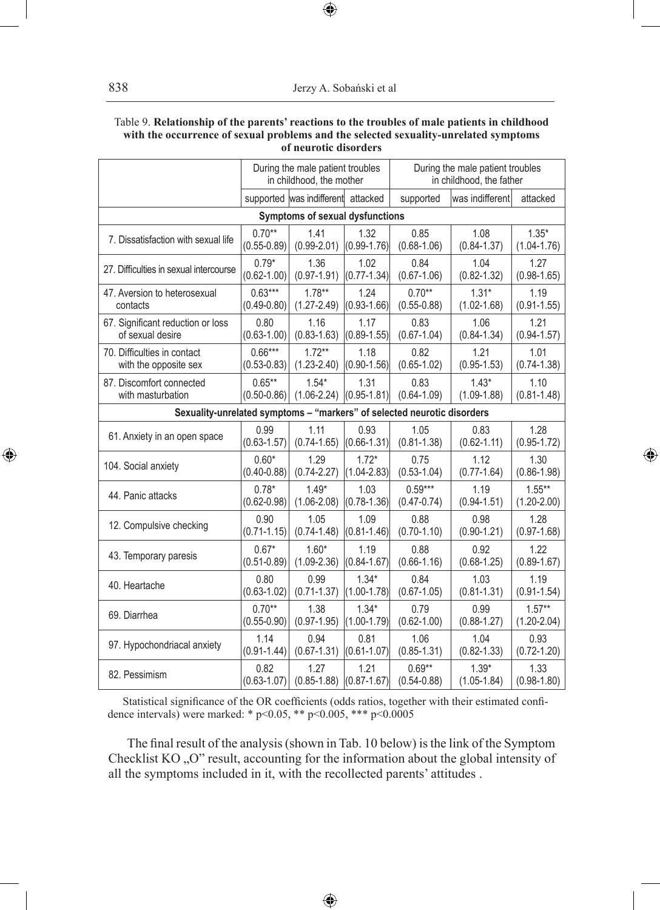### Table 9. **Relationship of the parents' reactions to the troubles of male patients in childhood with the occurrence of sexual problems and the selected sexuality-unrelated symptoms of neurotic disorders**

 $\bigoplus$ 

|                                                                         | During the male patient troubles<br>in childhood, the mother |                                 |                 | During the male patient troubles<br>in childhood, the father |                 |                 |  |
|-------------------------------------------------------------------------|--------------------------------------------------------------|---------------------------------|-----------------|--------------------------------------------------------------|-----------------|-----------------|--|
|                                                                         | supported was indifferent attacked                           |                                 |                 | supported                                                    | was indifferent | attacked        |  |
|                                                                         |                                                              | Symptoms of sexual dysfunctions |                 |                                                              |                 |                 |  |
| 7. Dissatisfaction with sexual life                                     | $0.70**$                                                     | 1.41                            | 1.32            | 0.85                                                         | 1.08            | $1.35*$         |  |
|                                                                         | $(0.55 - 0.89)$                                              | $(0.99 - 2.01)$                 | $(0.99 - 1.76)$ | $(0.68 - 1.06)$                                              | $(0.84 - 1.37)$ | $(1.04 - 1.76)$ |  |
| 27. Difficulties in sexual intercourse                                  | $0.79*$                                                      | 1.36                            | 1.02            | 0.84                                                         | 1.04            | 1.27            |  |
|                                                                         | $(0.62 - 1.00)$                                              | $(0.97 - 1.91)$                 | $(0.77 - 1.34)$ | $(0.67 - 1.06)$                                              | $(0.82 - 1.32)$ | $(0.98 - 1.65)$ |  |
| 47. Aversion to heterosexual                                            | $0.63***$                                                    | $1.78**$                        | 1.24            | $0.70**$                                                     | $1.31*$         | 1.19            |  |
| contacts                                                                | $(0.49 - 0.80)$                                              | $(1.27 - 2.49)$                 | $(0.93 - 1.66)$ | $(0.55 - 0.88)$                                              | $(1.02 - 1.68)$ | $(0.91 - 1.55)$ |  |
| 67. Significant reduction or loss                                       | 0.80                                                         | 1.16                            | 1.17            | 0.83                                                         | 1.06            | 1.21            |  |
| of sexual desire                                                        | $(0.63 - 1.00)$                                              | $(0.83 - 1.63)$                 | $(0.89 - 1.55)$ | $(0.67 - 1.04)$                                              | $(0.84 - 1.34)$ | $(0.94 - 1.57)$ |  |
| 70. Difficulties in contact                                             | $0.66***$                                                    | $1.72**$                        | 1.18            | 0.82                                                         | 1.21            | 1.01            |  |
| with the opposite sex                                                   | $(0.53 - 0.83)$                                              | $(1.23 - 2.40)$                 | $(0.90 - 1.56)$ | $(0.65 - 1.02)$                                              | $(0.95 - 1.53)$ | $(0.74 - 1.38)$ |  |
| 87. Discomfort connected                                                | $0.65**$                                                     | $1.54*$                         | 1.31            | 0.83                                                         | $1.43*$         | 1.10            |  |
| with masturbation                                                       | $(0.50 - 0.86)$                                              | $(1.06 - 2.24)$                 | $(0.95 - 1.81)$ | $(0.64 - 1.09)$                                              | $(1.09 - 1.88)$ | $(0.81 - 1.48)$ |  |
| Sexuality-unrelated symptoms - "markers" of selected neurotic disorders |                                                              |                                 |                 |                                                              |                 |                 |  |
| 61. Anxiety in an open space                                            | 0.99                                                         | 1.11                            | 0.93            | 1.05                                                         | 0.83            | 1.28            |  |
|                                                                         | $(0.63 - 1.57)$                                              | $(0.74 - 1.65)$                 | $(0.66 - 1.31)$ | $(0.81 - 1.38)$                                              | $(0.62 - 1.11)$ | $(0.95 - 1.72)$ |  |
| 104. Social anxiety                                                     | $0.60*$                                                      | 1.29                            | $1.72*$         | 0.75                                                         | 1.12            | 1.30            |  |
|                                                                         | $(0.40 - 0.88)$                                              | $(0.74 - 2.27)$                 | $(1.04 - 2.83)$ | $(0.53 - 1.04)$                                              | $(0.77 - 1.64)$ | $(0.86 - 1.98)$ |  |
| 44. Panic attacks                                                       | $0.78*$                                                      | $1.49*$                         | 1.03            | $0.59***$                                                    | 1.19            | $1.55***$       |  |
|                                                                         | $(0.62 - 0.98)$                                              | $(1.06 - 2.08)$                 | $(0.78 - 1.36)$ | $(0.47 - 0.74)$                                              | $(0.94 - 1.51)$ | $(1.20 - 2.00)$ |  |
| 12. Compulsive checking                                                 | 0.90                                                         | 1.05                            | 1.09            | 0.88                                                         | 0.98            | 1.28            |  |
|                                                                         | $(0.71 - 1.15)$                                              | $(0.74 - 1.48)$                 | $(0.81 - 1.46)$ | $(0.70 - 1.10)$                                              | $(0.90 - 1.21)$ | $(0.97 - 1.68)$ |  |
| 43. Temporary paresis                                                   | $0.67*$                                                      | $1.60*$                         | 1.19            | 0.88                                                         | 0.92            | 1.22            |  |
|                                                                         | $(0.51 - 0.89)$                                              | $(1.09 - 2.36)$                 | $(0.84 - 1.67)$ | $(0.66 - 1.16)$                                              | $(0.68 - 1.25)$ | $(0.89 - 1.67)$ |  |
| 40. Heartache                                                           | 0.80                                                         | 0.99                            | $1.34*$         | 0.84                                                         | 1.03            | 1.19            |  |
|                                                                         | $(0.63 - 1.02)$                                              | $(0.71 - 1.37)$                 | $(1.00 - 1.78)$ | $(0.67 - 1.05)$                                              | $(0.81 - 1.31)$ | $(0.91 - 1.54)$ |  |
| 69. Diarrhea                                                            | $0.70**$                                                     | 1.38                            | $1.34*$         | 0.79                                                         | 0.99            | $1.57**$        |  |
|                                                                         | $(0.55 - 0.90)$                                              | $(0.97 - 1.95)$                 | $(1.00 - 1.79)$ | $(0.62 - 1.00)$                                              | $(0.88 - 1.27)$ | $(1.20 - 2.04)$ |  |
| 97. Hypochondriacal anxiety                                             | 1.14                                                         | 0.94                            | 0.81            | 1.06                                                         | 1.04            | 0.93            |  |
|                                                                         | $(0.91 - 1.44)$                                              | $(0.67 - 1.31)$                 | $(0.61 - 1.07)$ | $(0.85 - 1.31)$                                              | $(0.82 - 1.33)$ | $(0.72 - 1.20)$ |  |
| 82. Pessimism                                                           | 0.82                                                         | 1.27                            | 1.21            | $0.69**$                                                     | $1.39*$         | 1.33            |  |
|                                                                         | $(0.63 - 1.07)$                                              | $(0.85 - 1.88)$                 | $(0.87 - 1.67)$ | $(0.54 - 0.88)$                                              | $(1.05 - 1.84)$ | $(0.98 - 1.80)$ |  |

 $\bigoplus$ 

Statistical significance of the OR coefficients (odds ratios, together with their estimated confidence intervals) were marked: \* p<0.05, \*\* p<0.005, \*\*\* p<0.0005

The final result of the analysis (shown in Tab. 10 below) is the link of the Symptom Checklist KO "O" result, accounting for the information about the global intensity of all the symptoms included in it, with the recollected parents' attitudes .

 $\bigoplus$ 

 $\bigoplus$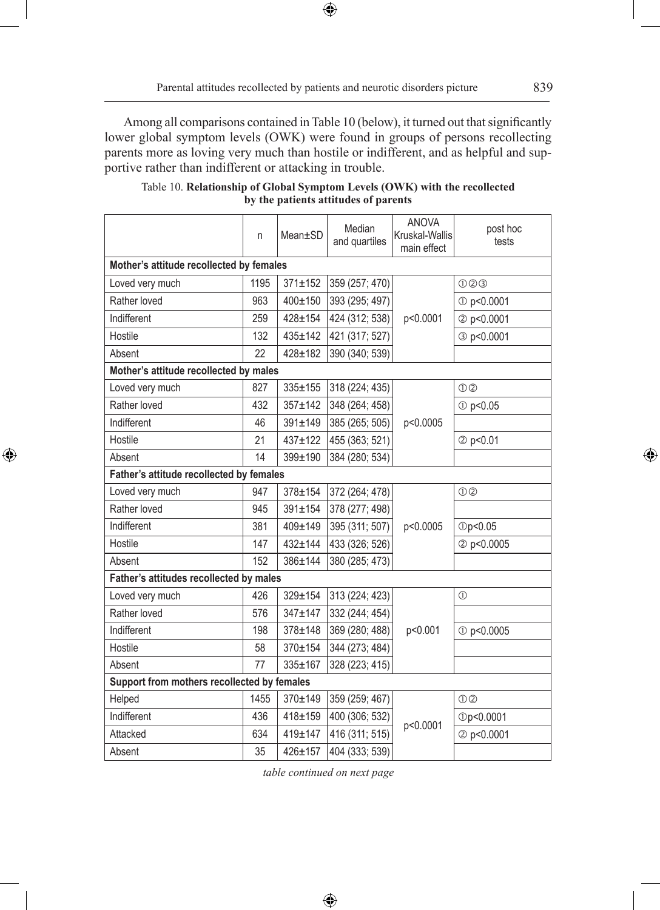$\bigoplus$ 

Among all comparisons contained in Table 10 (below), it turned out that significantly lower global symptom levels (OWK) were found in groups of persons recollecting parents more as loving very much than hostile or indifferent, and as helpful and supportive rather than indifferent or attacking in trouble.

|                                             | n    | Mean±SD       | Median<br>and quartiles | <b>ANOVA</b><br>Kruskal-Wallis<br>main effect | post hoc<br>tests  |
|---------------------------------------------|------|---------------|-------------------------|-----------------------------------------------|--------------------|
| Mother's attitude recollected by females    |      |               |                         |                                               |                    |
| Loved very much                             | 1195 | $371 \pm 152$ | 359 (257; 470)          |                                               | 000                |
| Rather loved                                | 963  | $400 + 150$   | 393 (295; 497)          | p<0.0001                                      | 10 p<0.0001        |
| Indifferent                                 | 259  | $428 + 154$   | 424 (312; 538)          |                                               | 2 p<0.0001         |
| Hostile                                     | 132  | $435 \pm 142$ | 421 (317; 527)          |                                               | 3 p<0.0001         |
| Absent                                      | 22   | $428 + 182$   | 390 (340; 539)          |                                               |                    |
| Mother's attitude recollected by males      |      |               |                         |                                               |                    |
| Loved very much                             | 827  | $335 \pm 155$ | 318 (224; 435)          |                                               | $\odot$ $\odot$    |
| Rather loved                                | 432  | $357 + 142$   | 348 (264; 458)          |                                               | 1 p<0.05           |
| Indifferent                                 | 46   | $391 \pm 149$ | 385 (265; 505)          | p<0.0005                                      |                    |
| Hostile                                     | 21   | $437 + 122$   | 455 (363; 521)          |                                               | 2 p<0.01           |
| Absent                                      | 14   | 399±190       | 384 (280; 534)          |                                               |                    |
| Father's attitude recollected by females    |      |               |                         |                                               |                    |
| Loved very much                             | 947  | $378 + 154$   | 372 (264; 478)          | p<0.0005                                      | 0 <sup>2</sup>     |
| Rather loved                                | 945  | $391 \pm 154$ | 378 (277; 498)          |                                               |                    |
| Indifferent                                 | 381  | 409±149       | 395 (311; 507)          |                                               | <b>10p&lt;0.05</b> |
| Hostile                                     | 147  | $432 + 144$   | 433 (326; 526)          |                                               | 2 p<0.0005         |
| Absent                                      | 152  | 386±144       | 380 (285; 473)          |                                               |                    |
| Father's attitudes recollected by males     |      |               |                         |                                               |                    |
| Loved very much                             | 426  | 329±154       | 313 (224; 423)          |                                               | $\circled{0}$      |
| Rather loved                                | 576  | $347 + 147$   | 332 (244; 454)          | p<0.001                                       |                    |
| Indifferent                                 | 198  | $378 + 148$   | 369 (280; 488)          |                                               | 1 p<0.0005         |
| Hostile                                     | 58   | 370±154       | 344 (273; 484)          |                                               |                    |
| Absent                                      | 77   | 335±167       | 328 (223; 415)          |                                               |                    |
| Support from mothers recollected by females |      |               |                         |                                               |                    |
| Helped                                      | 1455 | 370±149       | 359 (259; 467)          |                                               | 00                 |
| Indifferent                                 | 436  | 418±159       | 400 (306; 532)          | p<0.0001                                      | Dp<0.0001          |
| Attacked                                    | 634  | $419 \pm 147$ | 416 (311; 515)          |                                               | 2 p<0.0001         |
| Absent                                      | 35   | 426±157       | 404 (333; 539)          |                                               |                    |

 $\bigoplus$ 

# Table 10. **Relationship of Global Symptom Levels (OWK) with the recollected by the patients attitudes of parents**

*table continued on next page*

 $\bigoplus$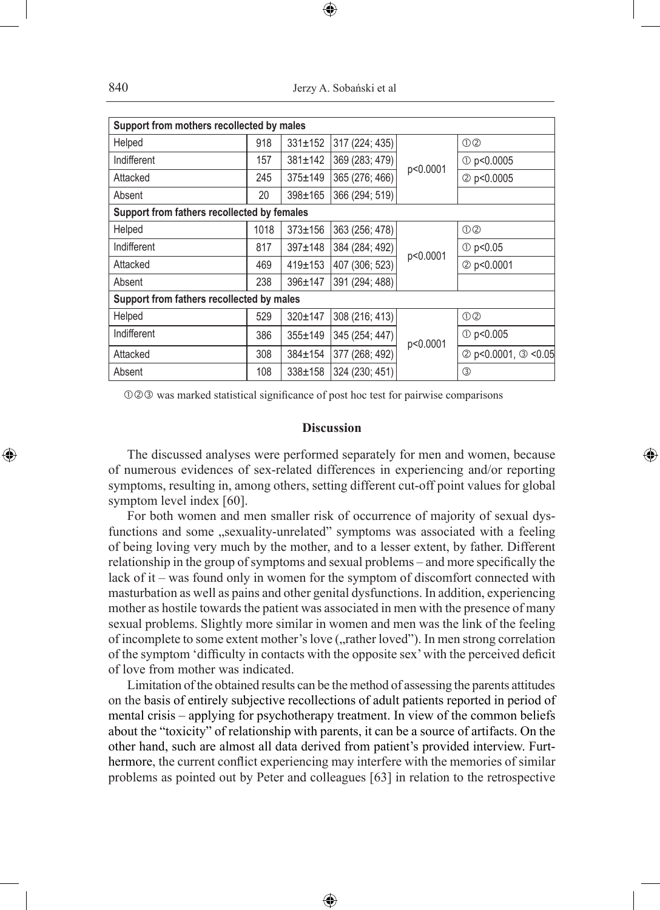| Support from mothers recollected by males   |      |               |                |          |                       |  |
|---------------------------------------------|------|---------------|----------------|----------|-----------------------|--|
| Helped                                      | 918  | $331 \pm 152$ | 317 (224; 435) |          | $①$ ②                 |  |
| Indifferent                                 | 157  | $381 \pm 142$ | 369 (283; 479) | p<0.0001 | $O$ p<0.0005          |  |
| Attacked                                    | 245  | $375 \pm 149$ | 365 (276; 466) |          | 2 p<0.0005            |  |
| Absent                                      | 20   | $398 \pm 165$ | 366 (294; 519) |          |                       |  |
| Support from fathers recollected by females |      |               |                |          |                       |  |
| Helped                                      | 1018 | $373 \pm 156$ | 363 (256; 478) | p<0.0001 | 0 <sup>2</sup>        |  |
| Indifferent                                 | 817  | $397 \pm 148$ | 384 (284; 492) |          | $\circled{0}$ p<0.05  |  |
| Attacked                                    | 469  | $419 \pm 153$ | 407 (306; 523) |          | 2 p<0.0001            |  |
| Absent                                      | 238  | $396 \pm 147$ | 391 (294; 488) |          |                       |  |
| Support from fathers recollected by males   |      |               |                |          |                       |  |
| Helped                                      | 529  | $320 \pm 147$ | 308 (216; 413) |          | O(2)                  |  |
| Indifferent                                 | 386  | $355 + 149$   | 345 (254; 447) | p<0.0001 | $\circled{1}$ p<0.005 |  |
| Attacked                                    | 308  | $384 \pm 154$ | 377 (268; 492) |          | 2 p<0.0001, 3 <0.05   |  |
| Absent                                      | 108  | $338 \pm 158$ | 324 (230; 451) |          | $\circled{3}$         |  |

 $OQQ$  was marked statistical significance of post hoc test for pairwise comparisons

### **Discussion**

The discussed analyses were performed separately for men and women, because of numerous evidences of sex-related differences in experiencing and/or reporting symptoms, resulting in, among others, setting different cut-off point values for global symptom level index [60].

◈

For both women and men smaller risk of occurrence of majority of sexual dysfunctions and some "sexuality-unrelated" symptoms was associated with a feeling of being loving very much by the mother, and to a lesser extent, by father. Different relationship in the group of symptoms and sexual problems – and more specifically the lack of it – was found only in women for the symptom of discomfort connected with masturbation as well as pains and other genital dysfunctions. In addition, experiencing mother as hostile towards the patient was associated in men with the presence of many sexual problems. Slightly more similar in women and men was the link of the feeling of incomplete to some extent mother's love ("rather loved"). In men strong correlation of the symptom 'difficulty in contacts with the opposite sex' with the perceived deficit of love from mother was indicated.

Limitation of the obtained results can be the method of assessing the parents attitudes on the basis of entirely subjective recollections of adult patients reported in period of mental crisis – applying for psychotherapy treatment. In view of the common beliefs about the "toxicity" of relationship with parents, it can be a source of artifacts. On the other hand, such are almost all data derived from patient's provided interview. Furthermore, the current conflict experiencing may interfere with the memories of similar problems as pointed out by Peter and colleagues [63] in relation to the retrospective

♠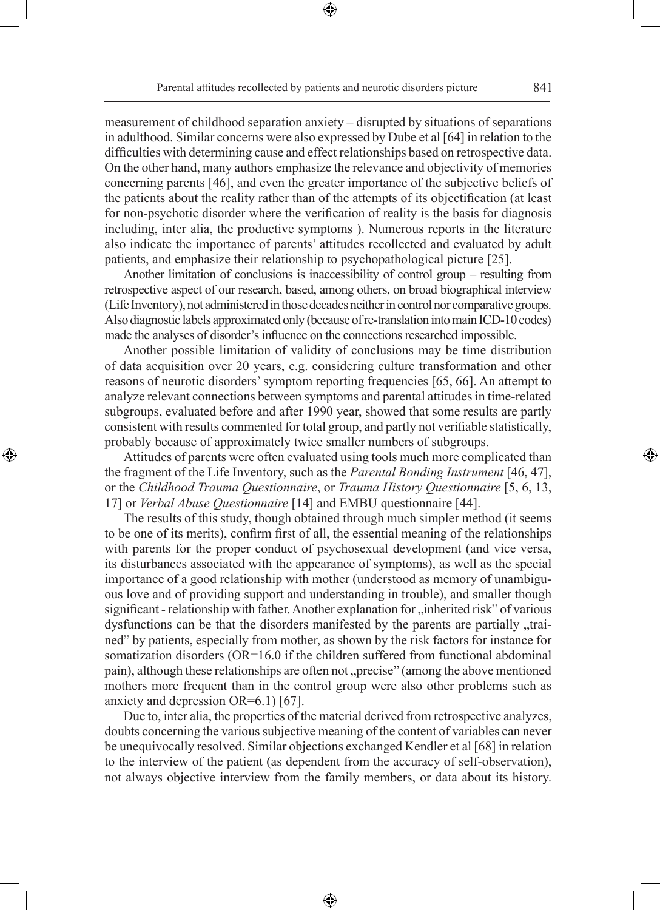measurement of childhood separation anxiety – disrupted by situations of separations in adulthood. Similar concerns were also expressed by Dube et al [64] in relation to the difficulties with determining cause and effect relationships based on retrospective data. On the other hand, many authors emphasize the relevance and objectivity of memories concerning parents [46], and even the greater importance of the subjective beliefs of the patients about the reality rather than of the attempts of its objectification (at least for non-psychotic disorder where the verification of reality is the basis for diagnosis including, inter alia, the productive symptoms ). Numerous reports in the literature also indicate the importance of parents' attitudes recollected and evaluated by adult patients, and emphasize their relationship to psychopathological picture [25].

Another limitation of conclusions is inaccessibility of control group – resulting from retrospective aspect of our research, based, among others, on broad biographical interview (Life Inventory), not administered in those decades neither in control nor comparative groups. Also diagnostic labels approximated only (because of re-translation into main ICD-10 codes) made the analyses of disorder's influence on the connections researched impossible.

Another possible limitation of validity of conclusions may be time distribution of data acquisition over 20 years, e.g. considering culture transformation and other reasons of neurotic disorders' symptom reporting frequencies [65, 66]. An attempt to analyze relevant connections between symptoms and parental attitudes in time-related subgroups, evaluated before and after 1990 year, showed that some results are partly consistent with results commented for total group, and partly not verifiable statistically, probably because of approximately twice smaller numbers of subgroups.

Attitudes of parents were often evaluated using tools much more complicated than the fragment of the Life Inventory, such as the *Parental Bonding Instrument* [46, 47], or the *Childhood Trauma Questionnaire*, or *Trauma History Questionnaire* [5, 6, 13, 17] or *Verbal Abuse Questionnaire* [14] and EMBU questionnaire [44].

◈

The results of this study, though obtained through much simpler method (it seems to be one of its merits), confirm first of all, the essential meaning of the relationships with parents for the proper conduct of psychosexual development (and vice versa, its disturbances associated with the appearance of symptoms), as well as the special importance of a good relationship with mother (understood as memory of unambiguous love and of providing support and understanding in trouble), and smaller though significant - relationship with father. Another explanation for "inherited risk" of various dysfunctions can be that the disorders manifested by the parents are partially "trained" by patients, especially from mother, as shown by the risk factors for instance for somatization disorders (OR=16.0 if the children suffered from functional abdominal pain), although these relationships are often not "precise" (among the above mentioned mothers more frequent than in the control group were also other problems such as anxiety and depression OR=6.1) [67].

Due to, inter alia, the properties of the material derived from retrospective analyzes, doubts concerning the various subjective meaning of the content of variables can never be unequivocally resolved. Similar objections exchanged Kendler et al [68] in relation to the interview of the patient (as dependent from the accuracy of self-observation), not always objective interview from the family members, or data about its history.

⊕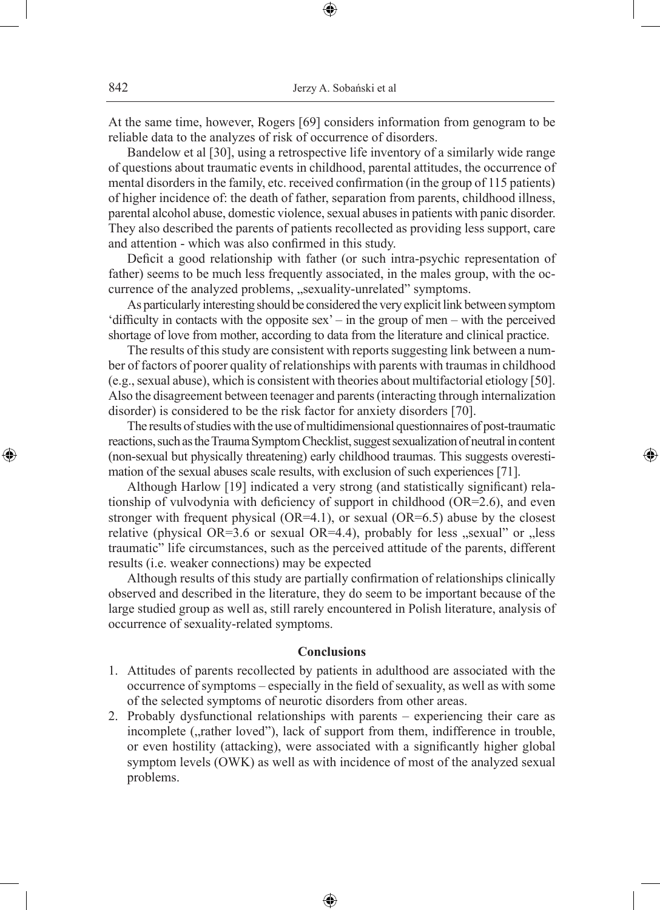At the same time, however, Rogers [69] considers information from genogram to be reliable data to the analyzes of risk of occurrence of disorders.

⊕

Bandelow et al [30], using a retrospective life inventory of a similarly wide range of questions about traumatic events in childhood, parental attitudes, the occurrence of mental disorders in the family, etc. received confirmation (in the group of 115 patients) of higher incidence of: the death of father, separation from parents, childhood illness, parental alcohol abuse, domestic violence, sexual abuses in patients with panic disorder. They also described the parents of patients recollected as providing less support, care and attention - which was also confirmed in this study.

Deficit a good relationship with father (or such intra-psychic representation of father) seems to be much less frequently associated, in the males group, with the occurrence of the analyzed problems, "sexuality-unrelated" symptoms.

As particularly interesting should be considered the very explicit link between symptom 'difficulty in contacts with the opposite sex' – in the group of men – with the perceived shortage of love from mother, according to data from the literature and clinical practice.

The results of this study are consistent with reports suggesting link between a number of factors of poorer quality of relationships with parents with traumas in childhood (e.g., sexual abuse), which is consistent with theories about multifactorial etiology [50]. Also the disagreement between teenager and parents (interacting through internalization disorder) is considered to be the risk factor for anxiety disorders [70].

The results of studies with the use of multidimensional questionnaires of post-traumatic reactions, such as the Trauma Symptom Checklist, suggest sexualization of neutral in content (non-sexual but physically threatening) early childhood traumas. This suggests overestimation of the sexual abuses scale results, with exclusion of such experiences [71].

◈

Although Harlow [19] indicated a very strong (and statistically significant) relationship of vulvodynia with deficiency of support in childhood (OR=2.6), and even stronger with frequent physical (OR=4.1), or sexual (OR=6.5) abuse by the closest relative (physical OR=3.6 or sexual OR=4.4), probably for less "sexual" or "less traumatic" life circumstances, such as the perceived attitude of the parents, different results (i.e. weaker connections) may be expected

Although results of this study are partially confirmation of relationships clinically observed and described in the literature, they do seem to be important because of the large studied group as well as, still rarely encountered in Polish literature, analysis of occurrence of sexuality-related symptoms.

### **Conclusions**

- 1. Attitudes of parents recollected by patients in adulthood are associated with the occurrence of symptoms – especially in the field of sexuality, as well as with some of the selected symptoms of neurotic disorders from other areas.
- 2. Probably dysfunctional relationships with parents experiencing their care as incomplete ("rather loved"), lack of support from them, indifference in trouble, or even hostility (attacking), were associated with a significantly higher global symptom levels (OWK) as well as with incidence of most of the analyzed sexual problems.

⊕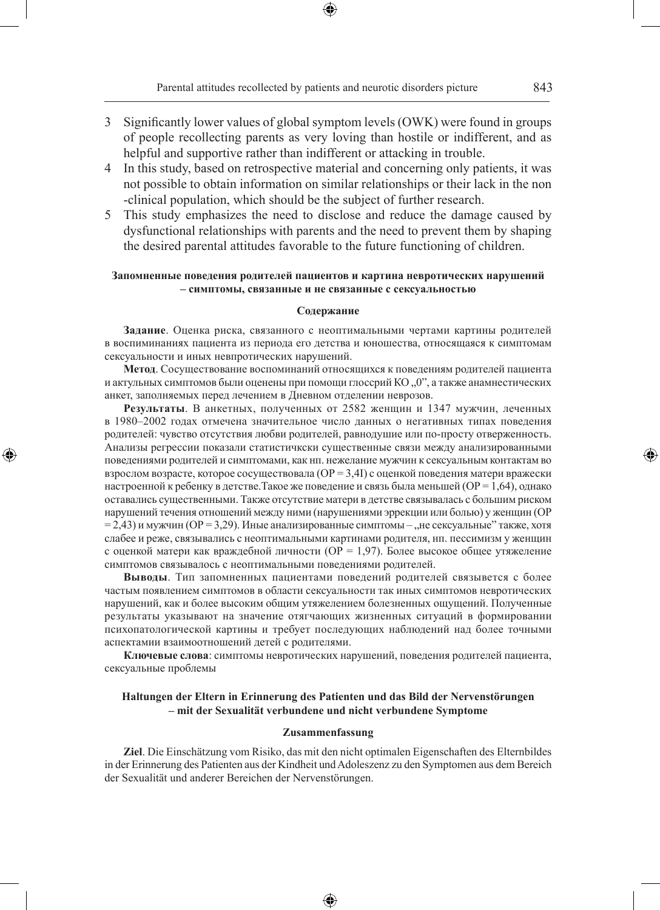Parental attitudes recollected by patients and neurotic disorders picture 843

- 3 Significantly lower values of global symptom levels (OWK) were found in groups of people recollecting parents as very loving than hostile or indifferent, and as helpful and supportive rather than indifferent or attacking in trouble.
- 4 In this study, based on retrospective material and concerning only patients, it was not possible to obtain information on similar relationships or their lack in the non -clinical population, which should be the subject of further research.
- 5 This study emphasizes the need to disclose and reduce the damage caused by dysfunctional relationships with parents and the need to prevent them by shaping the desired parental attitudes favorable to the future functioning of children.

### **Запомненные поведения родителей пациентов и картина невротических нарушений – симптомы, связанные и не связанные с сексуальностью**

#### **Содержание**

**Задание**. Оценка риска, связанного с неоптимальными чертами картины родителей в воспиминаниях пациента из периода его детства и юношества, относящаяся к симптомам сексуальности и иных невпротических нарушений.

**Метод**. Сосуществование воспоминаний относящихся к поведениям родителей пациента и актульных симптомов были оценены при помощи глоссрий  $KO, O$ , а также анамнестических анкет, заполняемых перед лечением в Дневном отделении неврозов.

**Результаты**. В анкетных, полученных от 2582 женщин и 1347 мужчин, леченных в 1980–2002 годах отмечена значительное число данных о негативных типах поведения родителей: чувство отсутствия любви родителей, равнодушие или по-просту отверженность. Анализы регрессии показали статистичкски существенные связи между анализированными поведениями родителей и симптомами, как нп. нежелание мужчин к сексуальным контактам во взрослом возрасте, которое сосуществовала (OP = 3,4I) с оценкой поведения матери вражески настроенной к ребенку в детстве. Такое же поведение и связь была меньшей (OP = 1,64), однако оставались существенными. Также отсутствие матери в детстве связывалась с большим риском нарушений течения отношений между ними (нарушениями эррекции или болью) у женщин (ОР  $= 2,43$ ) и мужчин (OP = 3,29). Иные анализированные симптомы – "не сексуальные" также, хотя слабее и реже, связывались с неоптимальными картинами родителя, нп. пессимизм у женщин с оценкой матери как враждебной личности (ОР = 1,97). Более высокое общее утяжеление симптомов связывалось с неоптимальными поведениями родителей.

◈

**Выводы**. Тип запомненных пациентами поведений родителей связывется с более частым появлением симптомов в области сексуальности так иных симптомов невротических нарушений, как и более высоким общим утяжелением болезненных ощущений. Полученные результаты указывают на значение отягчающих жизненных ситуаций в формировании психопатологической картины и требует последующих наблюдений над более точными аспектамии взаимоотношений детей с родителями.

**Ключевые слова**: симптомы невротических нарушений, поведения родителей пациента, сексуальные проблемы

### **Haltungen der Eltern in Erinnerung des Patienten und das Bild der Nervenstörungen – mit der Sexualität verbundene und nicht verbundene Symptome**

#### **Zusammenfassung**

**Ziel**. Die Einschätzung vom Risiko, das mit den nicht optimalen Eigenschaften des Elternbildes in der Erinnerung des Patienten aus der Kindheit und Adoleszenz zu den Symptomen aus dem Bereich der Sexualität und anderer Bereichen der Nervenstörungen.

♠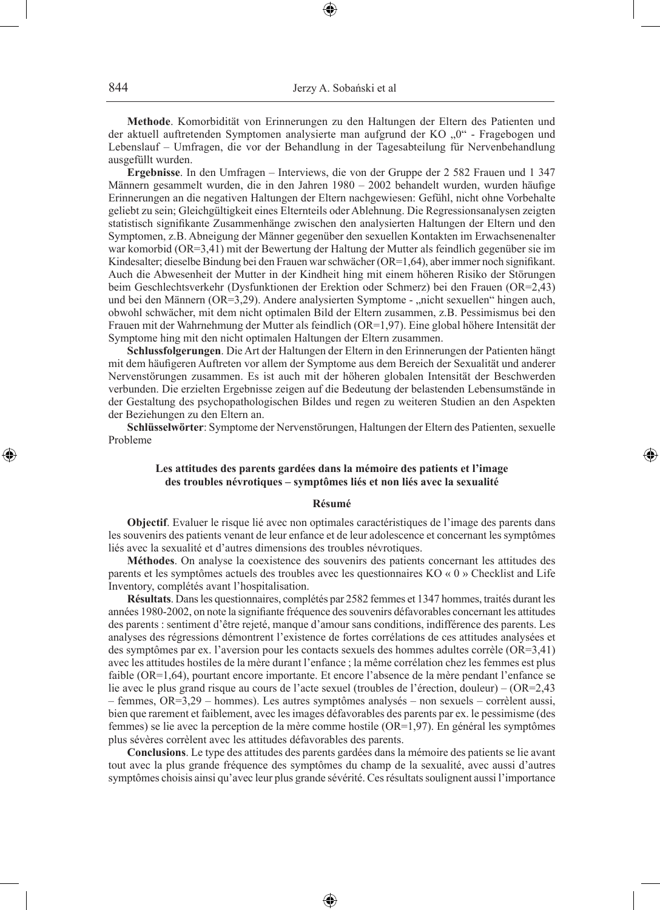**Methode**. Komorbidität von Erinnerungen zu den Haltungen der Eltern des Patienten und der aktuell auftretenden Symptomen analysierte man aufgrund der KO "0" - Fragebogen und Lebenslauf – Umfragen, die vor der Behandlung in der Tagesabteilung für Nervenbehandlung ausgefüllt wurden.

**Ergebnisse**. In den Umfragen – Interviews, die von der Gruppe der 2 582 Frauen und 1 347 Männern gesammelt wurden, die in den Jahren 1980 – 2002 behandelt wurden, wurden häufige Erinnerungen an die negativen Haltungen der Eltern nachgewiesen: Gefühl, nicht ohne Vorbehalte geliebt zu sein; Gleichgültigkeit eines Elternteils oder Ablehnung. Die Regressionsanalysen zeigten statistisch signifikante Zusammenhänge zwischen den analysierten Haltungen der Eltern und den Symptomen, z.B. Abneigung der Männer gegenüber den sexuellen Kontakten im Erwachsenenalter war komorbid (OR=3,41) mit der Bewertung der Haltung der Mutter als feindlich gegenüber sie im Kindesalter; dieselbe Bindung bei den Frauen war schwächer (OR=1,64), aber immer noch signifikant. Auch die Abwesenheit der Mutter in der Kindheit hing mit einem höheren Risiko der Störungen beim Geschlechtsverkehr (Dysfunktionen der Erektion oder Schmerz) bei den Frauen (OR=2,43) und bei den Männern ( $OR=3,29$ ). Andere analysierten Symptome - "nicht sexuellen" hingen auch, obwohl schwächer, mit dem nicht optimalen Bild der Eltern zusammen, z.B. Pessimismus bei den Frauen mit der Wahrnehmung der Mutter als feindlich (OR=1,97). Eine global höhere Intensität der Symptome hing mit den nicht optimalen Haltungen der Eltern zusammen.

**Schlussfolgerungen**. Die Art der Haltungen der Eltern in den Erinnerungen der Patienten hängt mit dem häufigeren Auftreten vor allem der Symptome aus dem Bereich der Sexualität und anderer Nervenstörungen zusammen. Es ist auch mit der höheren globalen Intensität der Beschwerden verbunden. Die erzielten Ergebnisse zeigen auf die Bedeutung der belastenden Lebensumstände in der Gestaltung des psychopathologischen Bildes und regen zu weiteren Studien an den Aspekten der Beziehungen zu den Eltern an.

**Schlüsselwörter**: Symptome der Nervenstörungen, Haltungen der Eltern des Patienten, sexuelle Probleme

### **Les attitudes des parents gardées dans la mémoire des patients et l'image des troubles névrotiques – symptômes liés et non liés avec la sexualité**

⊕

#### **Résumé**

**Objectif**. Evaluer le risque lié avec non optimales caractéristiques de l'image des parents dans les souvenirs des patients venant de leur enfance et de leur adolescence et concernant les symptômes liés avec la sexualité et d'autres dimensions des troubles névrotiques.

**Méthodes**. On analyse la coexistence des souvenirs des patients concernant les attitudes des parents et les symptômes actuels des troubles avec les questionnaires KO « 0 » Checklist and Life Inventory, complétés avant l'hospitalisation.

**Résultats**. Dans les questionnaires, complétés par 2582 femmes et 1347 hommes, traités durant les années 1980-2002, on note la signifiante fréquence des souvenirs défavorables concernant les attitudes des parents : sentiment d'être rejeté, manque d'amour sans conditions, indifférence des parents. Les analyses des régressions démontrent l'existence de fortes corrélations de ces attitudes analysées et des symptômes par ex. l'aversion pour les contacts sexuels des hommes adultes corrèle (OR=3,41) avec les attitudes hostiles de la mère durant l'enfance ; la même corrélation chez les femmes est plus faible (OR=1,64), pourtant encore importante. Et encore l'absence de la mère pendant l'enfance se lie avec le plus grand risque au cours de l'acte sexuel (troubles de l'érection, douleur) – (OR=2,43 – femmes, OR=3,29 – hommes). Les autres symptômes analysés – non sexuels – corrèlent aussi, bien que rarement et faiblement, avec les images défavorables des parents par ex. le pessimisme (des femmes) se lie avec la perception de la mère comme hostile (OR=1,97). En général les symptômes plus sévères corrèlent avec les attitudes défavorables des parents.

**Conclusions**. Le type des attitudes des parents gardées dans la mémoire des patients se lie avant tout avec la plus grande fréquence des symptômes du champ de la sexualité, avec aussi d'autres symptômes choisis ainsi qu'avec leur plus grande sévérité. Ces résultats soulignent aussi l'importance

♠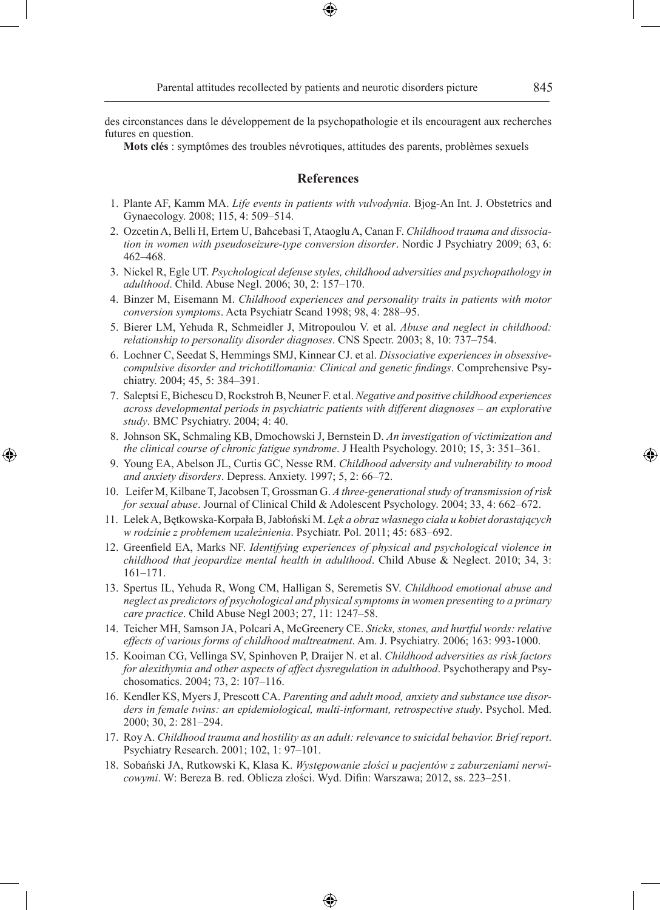des circonstances dans le développement de la psychopathologie et ils encouragent aux recherches futures en question.

**Mots clés** : symptômes des troubles névrotiques, attitudes des parents, problèmes sexuels

### **References**

- 1. Plante AF, Kamm MA. *Life events in patients with vulvodynia*. Bjog-An Int. J. Obstetrics and Gynaecology. 2008; 115, 4: 509–514.
- 2. Ozcetin A, Belli H, Ertem U, Bahcebasi T, Ataoglu A, Canan F. *Childhood trauma and dissociation in women with pseudoseizure-type conversion disorder*. Nordic J Psychiatry 2009; 63, 6: 462–468.
- 3. Nickel R, Egle UT. *Psychological defense styles, childhood adversities and psychopathology in adulthood*. Child. Abuse Negl. 2006; 30, 2: 157–170.
- 4. Binzer M, Eisemann M. *Childhood experiences and personality traits in patients with motor conversion symptoms*. Acta Psychiatr Scand 1998; 98, 4: 288–95.
- 5. Bierer LM, Yehuda R, Schmeidler J, Mitropoulou V. et al. *Abuse and neglect in childhood: relationship to personality disorder diagnoses*. CNS Spectr. 2003; 8, 10: 737–754.
- 6. Lochner C, Seedat S, Hemmings SMJ, Kinnear CJ. et al. *Dissociative experiences in obsessivecompulsive disorder and trichotillomania: Clinical and genetic findings*. Comprehensive Psychiatry. 2004; 45, 5: 384–391.
- 7. Saleptsi E, Bichescu D, Rockstroh B, Neuner F. et al. *Negative and positive childhood experiences across developmental periods in psychiatric patients with different diagnoses – an explorative study*. BMC Psychiatry. 2004; 4: 40.
- 8. Johnson SK, Schmaling KB, Dmochowski J, Bernstein D. *An investigation of victimization and the clinical course of chronic fatigue syndrome*. J Health Psychology. 2010; 15, 3: 351–361.

◈

- 9. Young EA, Abelson JL, Curtis GC, Nesse RM. *Childhood adversity and vulnerability to mood and anxiety disorders*. Depress. Anxiety. 1997; 5, 2: 66–72.
- 10. Leifer M, Kilbane T, Jacobsen T, Grossman G. *A three-generational study of transmission of risk for sexual abuse*. Journal of Clinical Child & Adolescent Psychology. 2004; 33, 4: 662–672.
- 11. Lelek A, Bętkowska-Korpała B, Jabłoński M. *Lęk a obraz własnego ciała u kobiet dorastających w rodzinie z problemem uzależnienia*. Psychiatr. Pol. 2011; 45: 683–692.
- 12. Greenfield EA, Marks NF. *Identifying experiences of physical and psychological violence in childhood that jeopardize mental health in adulthood*. Child Abuse & Neglect. 2010; 34, 3: 161–171.
- 13. Spertus IL, Yehuda R, Wong CM, Halligan S, Seremetis SV. *Childhood emotional abuse and neglect as predictors of psychological and physical symptoms in women presenting to a primary care practice*. Child Abuse Negl 2003; 27, 11: 1247–58.
- 14. Teicher MH, Samson JA, Polcari A, McGreenery CE. *Sticks, stones, and hurtful words: relative effects of various forms of childhood maltreatment*. Am. J. Psychiatry. 2006; 163: 993-1000.
- 15. Kooiman CG, Vellinga SV, Spinhoven P, Draijer N. et al. *Childhood adversities as risk factors for alexithymia and other aspects of affect dysregulation in adulthood*. Psychotherapy and Psychosomatics. 2004; 73, 2: 107–116.
- 16. Kendler KS, Myers J, Prescott CA. *Parenting and adult mood, anxiety and substance use disorders in female twins: an epidemiological, multi-informant, retrospective study*. Psychol. Med. 2000; 30, 2: 281–294.
- 17. Roy A. *Childhood trauma and hostility as an adult: relevance to suicidal behavior. Brief report*. Psychiatry Research. 2001; 102, 1: 97–101.
- 18. Sobański JA, Rutkowski K, Klasa K. *Występowanie złości u pacjentów z zaburzeniami nerwicowymi*. W: Bereza B. red. Oblicza złości. Wyd. Difin: Warszawa; 2012, ss. 223–251.

♠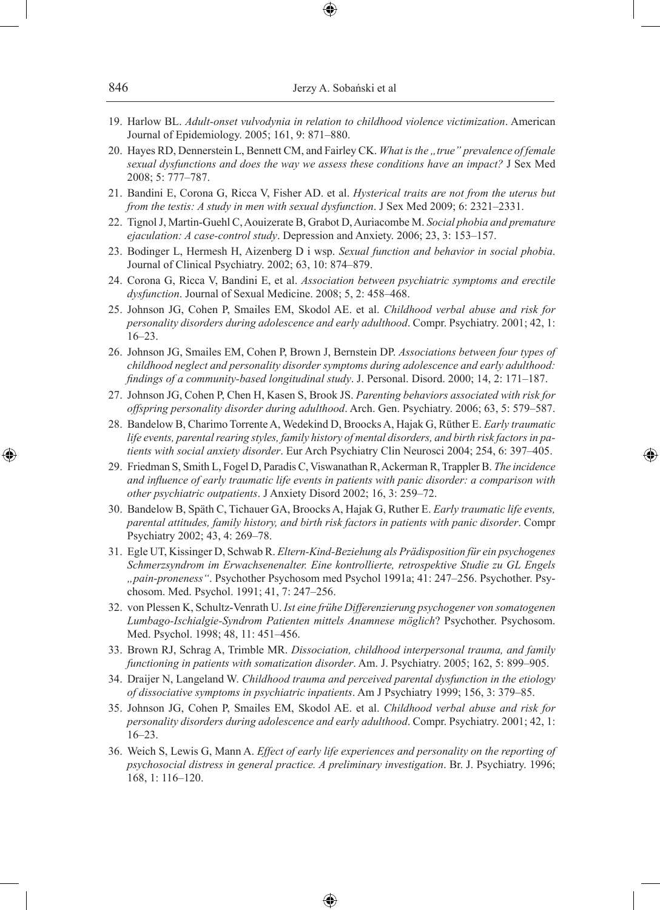| 846 | Jerzy A. Sobański et al |
|-----|-------------------------|
|-----|-------------------------|

- 19. Harlow BL. *Adult-onset vulvodynia in relation to childhood violence victimization*. American Journal of Epidemiology. 2005; 161, 9: 871–880.
- 20. Hayes RD, Dennerstein L, Bennett CM, and Fairley CK. *What is the ..true" prevalence of female sexual dysfunctions and does the way we assess these conditions have an impact?* J Sex Med 2008; 5: 777–787.
- 21. Bandini E, Corona G, Ricca V, Fisher AD. et al. *Hysterical traits are not from the uterus but from the testis: A study in men with sexual dysfunction*. J Sex Med 2009; 6: 2321–2331.
- 22. Tignol J, Martin-Guehl C, Aouizerate B, Grabot D, Auriacombe M. *Social phobia and premature ejaculation: A case-control study*. Depression and Anxiety. 2006; 23, 3: 153–157.
- 23. Bodinger L, Hermesh H, Aizenberg D i wsp. *Sexual function and behavior in social phobia*. Journal of Clinical Psychiatry. 2002; 63, 10: 874–879.
- 24. Corona G, Ricca V, Bandini E, et al. *Association between psychiatric symptoms and erectile dysfunction*. Journal of Sexual Medicine. 2008; 5, 2: 458–468.
- 25. Johnson JG, Cohen P, Smailes EM, Skodol AE. et al. *Childhood verbal abuse and risk for personality disorders during adolescence and early adulthood*. Compr. Psychiatry. 2001; 42, 1: 16–23.
- 26. Johnson JG, Smailes EM, Cohen P, Brown J, Bernstein DP. *Associations between four types of childhood neglect and personality disorder symptoms during adolescence and early adulthood: findings of a community-based longitudinal study*. J. Personal. Disord. 2000; 14, 2: 171–187.
- 27. Johnson JG, Cohen P, Chen H, Kasen S, Brook JS. *Parenting behaviors associated with risk for offspring personality disorder during adulthood*. Arch. Gen. Psychiatry. 2006; 63, 5: 579–587.
- 28. Bandelow B, Charimo Torrente A, Wedekind D, Broocks A, Hajak G, Rüther E. *Early traumatic life events, parental rearing styles, family history of mental disorders, and birth risk factors in patients with social anxiety disorder*. Eur Arch Psychiatry Clin Neurosci 2004; 254, 6: 397–405.

◈

- 29. Friedman S, Smith L, Fogel D, Paradis C, Viswanathan R, Ackerman R, Trappler B. *The incidence and influence of early traumatic life events in patients with panic disorder: a comparison with other psychiatric outpatients*. J Anxiety Disord 2002; 16, 3: 259–72.
- 30. Bandelow B, Späth C, Tichauer GA, Broocks A, Hajak G, Ruther E. *Early traumatic life events, parental attitudes, family history, and birth risk factors in patients with panic disorder*. Compr Psychiatry 2002; 43, 4: 269–78.
- 31. Egle UT, Kissinger D, Schwab R. *Eltern-Kind-Beziehung als Prädisposition für ein psychogenes Schmerzsyndrom im Erwachsenenalter. Eine kontrollierte, retrospektive Studie zu GL Engels "pain-proneness"*. Psychother Psychosom med Psychol 1991a; 41: 247–256. Psychother. Psychosom. Med. Psychol. 1991; 41, 7: 247–256.
- 32. von Plessen K, Schultz-Venrath U. *Ist eine frühe Differenzierung psychogener von somatogenen Lumbago-Ischialgie-Syndrom Patienten mittels Anamnese möglich*? Psychother. Psychosom. Med. Psychol. 1998; 48, 11: 451–456.
- 33. Brown RJ, Schrag A, Trimble MR. *Dissociation, childhood interpersonal trauma, and family functioning in patients with somatization disorder*. Am. J. Psychiatry. 2005; 162, 5: 899–905.
- 34. Draijer N, Langeland W. *Childhood trauma and perceived parental dysfunction in the etiology of dissociative symptoms in psychiatric inpatients*. Am J Psychiatry 1999; 156, 3: 379–85.
- 35. Johnson JG, Cohen P, Smailes EM, Skodol AE. et al. *Childhood verbal abuse and risk for personality disorders during adolescence and early adulthood*. Compr. Psychiatry. 2001; 42, 1: 16–23.
- 36. Weich S, Lewis G, Mann A. *Effect of early life experiences and personality on the reporting of psychosocial distress in general practice. A preliminary investigation*. Br. J. Psychiatry. 1996; 168, 1: 116–120.

♠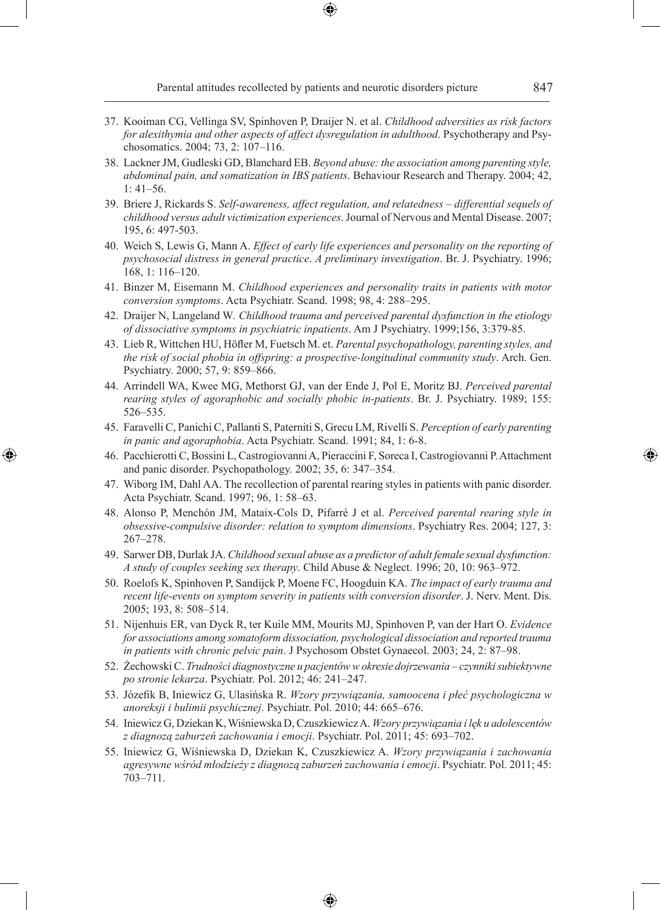Parental attitudes recollected by patients and neurotic disorders picture 847

- 37. Kooiman CG, Vellinga SV, Spinhoven P, Draijer N. et al. *Childhood adversities as risk factors for alexithymia and other aspects of affect dysregulation in adulthood*. Psychotherapy and Psychosomatics. 2004; 73, 2: 107–116.
- 38. Lackner JM, Gudleski GD, Blanchard EB. *Beyond abuse: the association among parenting style, abdominal pain, and somatization in IBS patients*. Behaviour Research and Therapy. 2004; 42,  $1: 41–56$ .
- 39. Briere J, Rickards S. *Self-awareness, affect regulation, and relatedness differential sequels of childhood versus adult victimization experiences*. Journal of Nervous and Mental Disease. 2007; 195, 6: 497-503.
- 40. Weich S, Lewis G, Mann A. *Effect of early life experiences and personality on the reporting of psychosocial distress in general practice*. *A preliminary investigation*. Br. J. Psychiatry. 1996; 168, 1: 116–120.
- 41. Binzer M, Eisemann M. *Childhood experiences and personality traits in patients with motor conversion symptoms*. Acta Psychiatr. Scand. 1998; 98, 4: 288–295.
- 42. Draijer N, Langeland W*. Childhood trauma and perceived parental dysfunction in the etiology of dissociative symptoms in psychiatric inpatients*. Am J Psychiatry. 1999;156, 3:379-85.
- 43. Lieb R, Wittchen HU, Höfler M, Fuetsch M. et. *Parental psychopathology, parenting styles, and the risk of social phobia in offspring: a prospective-longitudinal community study*. Arch. Gen. Psychiatry. 2000; 57, 9: 859–866.
- 44. Arrindell WA, Kwee MG, Methorst GJ, van der Ende J, Pol E, Moritz BJ. *Perceived parental rearing styles of agoraphobic and socially phobic in-patients*. Br. J. Psychiatry. 1989; 155: 526–535.
- 45. Faravelli C, Panichi C, Pallanti S, Paterniti S, Grecu LM, Rivelli S. *Perception of early parenting in panic and agoraphobia*. Acta Psychiatr. Scand. 1991; 84, 1: 6-8.
- 46. Pacchierotti C, Bossini L, Castrogiovanni A, Pieraccini F, Soreca I, Castrogiovanni P. Attachment and panic disorder. Psychopathology. 2002; 35, 6: 347–354.

◈

- 47. Wiborg IM, Dahl AA. The recollection of parental rearing styles in patients with panic disorder. Acta Psychiatr. Scand. 1997; 96, 1: 58–63.
- 48. Alonso P, Menchón JM, Mataix-Cols D, Pifarré J et al. *Perceived parental rearing style in obsessive-compulsive disorder: relation to symptom dimensions*. Psychiatry Res. 2004; 127, 3: 267–278.
- 49. Sarwer DB, Durlak JA. *Childhood sexual abuse as a predictor of adult female sexual dysfunction: A study of couples seeking sex therapy*. Child Abuse & Neglect. 1996; 20, 10: 963–972.
- 50. Roelofs K, Spinhoven P, Sandijck P, Moene FC, Hoogduin KA. *The impact of early trauma and recent life-events on symptom severity in patients with conversion disorder*. J. Nerv. Ment. Dis. 2005; 193, 8: 508–514.
- 51. Nijenhuis ER, van Dyck R, ter Kuile MM, Mourits MJ, Spinhoven P, van der Hart O. *Evidence for associations among somatoform dissociation, psychological dissociation and reported trauma in patients with chronic pelvic pain*. J Psychosom Obstet Gynaecol. 2003; 24, 2: 87–98.
- 52. Żechowski C. *Trudności diagnostyczne u pacjentów w okresie dojrzewania czynniki subiektywne po stronie lekarza*. Psychiatr. Pol. 2012; 46: 241–247.
- 53. Józefik B, Iniewicz G, Ulasińska R. *Wzory przywiązania, samoocena i płeć psychologiczna w anoreksji i bulimii psychicznej*. Psychiatr. Pol. 2010; 44: 665–676.
- 54. Iniewicz G, Dziekan K, Wiśniewska D, Czuszkiewicz A. *Wzory przywiązania i lęk u adolescentów z diagnozą zaburzeń zachowania i emocji*. Psychiatr. Pol. 2011; 45: 693–702.
- 55. Iniewicz G, Wiśniewska D, Dziekan K, Czuszkiewicz A. *Wzory przywiązania i zachowania agresywne wśród młodzieży z diagnozą zaburzeń zachowania i emocji*. Psychiatr. Pol. 2011; 45: 703–711.

♠